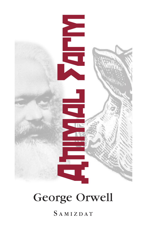

### George Orwell

SAMIZDAT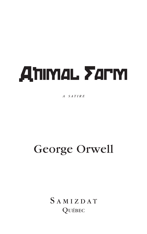*a s a t i r e*

### George Orwell

 $S$  A M I Z D A T **QUÉBEC**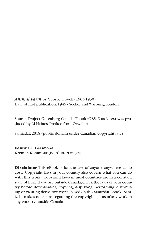*Animal Farm* by George Orwell (1903-1950). Date of first publication: 1945 - Secker and Warburg, London

Source: [Project Gutenberg Canada](http://www.gutenberg.ca/), Ebook #785. Ebook text was produced by Al Haines. Preface from [Orwell.ru](http://orwell.ru/library/novels/Animal_Farm/english/efp_go).

Samizdat, 2018 (public domain under [Canadian copyright law\)](http://laws-lois.justice.gc.ca/eng/acts/C-42/page-6.html#h-6)

Fonts: ITC Garamond Kremlin Kommisar [\(BoltCutterDesign\)](http://boltcutterdesign.net/)

**Disclaimer** This eBook is for the use of anyone anywhere at no cost. Copyright laws in your country also govern what you can do with this work. Copyright laws in most countries are in a constant state of flux. If you are outside Canada, check the laws of your country before downloading, copying, displaying, performing, distributing or creating derivative works based on this Samizdat Ebook. Samizdat makes no claims regarding the copyright status of any work in any country outside Canada.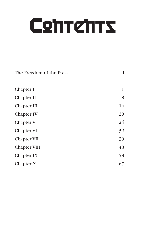# **Contents**

| The Freedom of the Press | $\mathbf{i}$ |
|--------------------------|--------------|
|                          |              |
| Chapter I                | 1            |
| Chapter II               | 8            |
| Chapter III              | 14           |
| Chapter IV               | 20           |
| Chapter V                | 24           |
| Chapter VI               | 32           |
| Chapter VII              | 39           |
| Chapter VIII             | 48           |
| Chapter IX               | 58           |
| Chapter X                | 67           |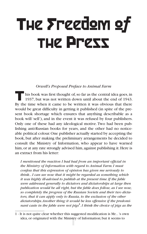# <span id="page-6-0"></span>THE Freedom of the Press

#### *Orwell's Proposed Preface to Animal Farm*

This book was first thought of, so far as the central idea goes, in 1937, but was not written down until about the end of 1943. By the time when it came to be written it was obvious that there would be great difficulty in getting it published (in spite of the present book shortage which ensures that anything describable as a book will 'sell'), and in the event it was refused by four publishers. Only one of these had any ideological motive. Two had been publishing anti-Russian books for years, and the other had no noticeable political colour. One publisher actually started by accepting the book, but after making the preliminary arrangements he decided to consult the Ministry of Information, who appear to have warned him, or at any rate strongly advised him, against publishing it. Here is an extract from his letter:

*I mentioned the reaction I had had from an important official in the Ministry of Information with regard to Animal Farm. I must confess that this expression of opinion has given me seriously to think... I can see now that it might be regarded as something which it was highly ill-advised to publish at the present time. If the fable were addressed generally to dictators and dictatorships at large then publication would be all right, but the fable does follow, as I see now, so completely the progress of the Russian Soviets and their two dictators, that it can apply only to Russia, to the exclusion of the other dictatorships. Another thing: it would be less offensive if the predominant caste in the fable were not pigs***<sup>1</sup>** *. I think the choice of pigs as the* 

tr<br>| 1 - It is not quite clear whether this suggested modification is Mr... 's own idea, or originated with the Ministry of Information; but it seems to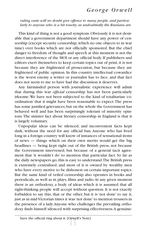#### *George Orwell*

*ruling caste will no doubt give offence to many people, and particularly to anyone who is a bit touchy, as undoubtedly the Russians are.*

This kind of thing is not a good symptom. Obviously it is not desirable that a government department should have any power of censorship (except security censorship, which no one objects to in war time) over books which are not officially sponsored. But the chief danger to freedom of thought and speech at this moment is not the direct interference of the MOI or any official body. If publishers and editors exert themselves to keep certain topics out of print, it is not because they are frightened of prosecution, but because they are frightened of public opinion. In this country intellectual cowardice is the worst enemy a writer or journalist has to face, and that fact does not seem to me to have had the discussion it deserves.

Any fairminded person with journalistic experience will admit that during this war *official* censorship has not been particularly irksome. We have not been subjected to the kind of totalitarian 'coordination' that it might have been reasonable to expect. The press has some justified grievances, but on the whole the Government has behaved well and has been surprisingly tolerant of minority opinions. The sinister fact about literary censorship in England is that it is largely voluntary.

Unpopular ideas can be silenced, and inconvenient facts kept dark, without the need for any official ban. Anyone who has lived long in a foreign country will know of instances of sensational items of news — things which on their own merits would get the big headlines — being kept right out of the British press, not because the Government intervened, but because of a general tacit agreement that 'it wouldn't do' to mention that particular fact. So far as the daily newspapers go, this is easy to understand. The British press is extremely centralised, and most of it is owned by wealthy men who have every motive to be dishonest on certain important topics. But the same kind of veiled censorship also operates in books and periodicals, as well as in plays, films and radio. At any given moment there is an orthodoxy, a body of ideas which it is assumed that all right-thinking people will accept without question. It is not exactly forbidden to say this, that or the other, but it is 'not done' to say it, just as in mid-Victorian times it was 'not done' to mention trousers in the presence of a lady. Anyone who challenges the prevailing orthodoxy finds himself silenced with surprising effectiveness. A genuine-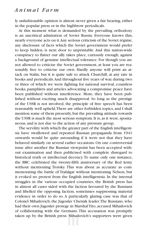ly unfashionable opinion is almost never given a fair hearing, either in the popular press or in the highbrow periodicals.

At this moment what is demanded by the prevailing orthodoxy is an uncritical admiration of Soviet Russia. Everyone knows this, nearly everyone acts on it. Any serious criticism of the Soviet régime, any disclosure of facts which the Soviet government would prefer to keep hidden, is next door to unprintable. And this nation-wide conspiracy to flatter our ally takes place, curiously enough, against a background of genuine intellectual tolerance. For though you arc not allowed to criticise the Soviet government, at least you are reasonably free to criticise our own. Hardly anyone will print an attack on Stalin, but it is quite safe to attack Churchill, at any rate in books and periodicals. And throughout five years of war, during two or three of which we were fighting for national survival, countless books, pamphlets and articles advocating a compromise peace have been published without interference. More, they have been published without exciting much disapproval. So long as the prestige of the USSR is not involved, the principle of free speech has been reasonably well upheld. There are other forbidden topics, and I shall mention some of them presently, but the prevailing attitude towards the USSR is much the most serious symptom. It is, as it were, spontaneous, and is not due to the action of any pressure group.

taken up by the British press: Mihailovich's supporters were given<br> The servility with which the greater part of the English intelligentsia have swallowed and repeated Russian propaganda from 1941 onwards would be quite astounding if it were not that they have behaved similarly on several earlier occasions. On one controversial issue after another the Russian viewpoint has been accepted without examination and then publicised with complete disregard to historical truth or intellectual decency. To name only one instance, the BBC celebrated the twenty-fifth anniversary of the Red Army without mentioning Trotsky. This was about as accurate as commemorating the battle of Trafalgar without mentioning Nelson, but it evoked no protest from the English intelligentsia. In the internal struggles in the various occupied countries, the British press has in almost all cases sided with the faction favoured by the Russians and libelled the opposing faction, sometimes suppressing material evidence in order to do so. A particularly glaring case was that of Colonel Mihailovich, the Jugoslav Chetnik leader. The Russians, who had their own Jugoslav protege in Marshal Tito, accused Mihailovich of collaborating with the Germans. This accusation was promptly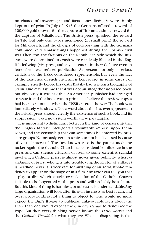no chance of answering it, and facts contradicting it were simply kept out of print. In July of 1943 the Germans offered a reward of 100,000 gold crowns for the capture of Tito, and a similar reward for the capture of Mihailovich. The British press 'splashed' the reward for Tito, but only one paper mentioned (in small print) the reward for Mihailovich: and the charges of collaborating with the Germans continued. Very similar things happened during the Spanish civil war. Then, too, the factions on the Republican side which the Russians were determined to crush were recklessly libelled in the English leftwing [*sic*] press, and any statement in their defence even in letter form, was refused publication. At present, not only is serious criticism of the USSR considered reprehensible, but even the fact of the existence of such criticism is kept secret in some cases. For example, shortly before his death Trotsky had written a biography of Stalin. One may assume that it was not an altogether unbiased book, but obviously it was saleable. An American publisher had arranged to issue it and the book was in print — 1 believe the review copies had been sent out — when the USSR entered the war. The book was immediately withdrawn. Not a word about this has ever appeared in the British press, though clearly the existence of such a book, and its suppression, was a news item worth a few paragraphs.

the *Catholic Herald* for what they are. What is disquieting is that the *Catholic Herald* for what they are. What is disquieting is that It is important to distinguish between the kind of censorship that the English literary intelligentsia voluntarily impose upon themselves, and the censorship that can sometimes be enforced by pressure groups. Notoriously, certain topics cannot be discussed because of 'vested interests'. The best-known case is the patent medicine racket. Again, the Catholic Church has considerable influence in the press and can silence criticism of itself to some extent. A scandal involving a Catholic priest is almost never given publicity, whereas an Anglican priest who gets into trouble (e.g. the Rector of Stiffkey) is headline news. It is very rare for anything of an anti-Catholic tendency to appear on the stage or in a film. Any actor can tell you that a play or film which attacks or makes fun of the Catholic Church is liable to be boycotted in the press and will probably be a failure. But this kind of thing is harmless, or at least it is understandable. Any large organisation will look after its own interests as best it can, and overt propaganda is not a thing to object to. One would no more expect the *Daily Worker* to publicise unfavourable facts about the USSR than one would expect the *Catholic Herald* to denounce the Pope. But then every thinking person knows the *Daily Worker* and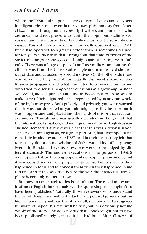where the USSR and its policies are concerned one cannot expect intelligent criticism or even, in many cases, plain honesty from Liberal [*sic* — and throughout as typescript] writers and journalists who are under no direct pressure to falsify their opinions. Stalin is sacrosanct and certain aspects of his policy must not be seriously discussed. This rule has been almost universally observed since 1941, but it had operated, to a greater extent than is sometimes realised, for ten years earlier than that. Throughout that time, criticism of the Soviet régime *from the left* could only obtain a hearing with difficulty. There was a huge output of anti-Russian literature, but nearly all of it was from the Conservative angle and manifestly dishonest, out of date and actuated by sordid motives. On the other side there was an equally huge and almost equally dishonest stream of pro-Russian propaganda, and what amounted to a boycott on anyone who tried to discuss all-important questions in a grown-up manner. You could, indeed, publish anti-Russian books, but to do so was to make sure of being ignored or misrepresented by nearly me whole of the highbrow press. Both publicly and privately you were warned that it was 'not done'. What you said might possibly be true, but it was 'inopportune' and played into the hands of this or that reactionary interest. This attitude was usually defended on the ground that the international situation, and me urgent need for an Anglo-Russian alliance, demanded it; but it was clear that this was a rationalisation. The English intelligentsia, or a great part of it, had developed a nationalistic loyalty towards me USSR, and in their hearts they felt that to cast any doubt on me wisdom of Stalin was a kind of blasphemy. Events in Russia and events elsewhere were to be judged by different standards. The endless executions in me purges of 1936-8 were applauded by life-long opponents of capital punishment, and it was considered equally proper to publicise famines when they happened in India and to conceal them when they happened in me Ukraine. And if this was true before the war, the intellectual atmosphere is certainly no better now.

been published' merely because it is a bad book. After all, acres of  $\overline{\phantom{a}}$ But now to come back to this book of mine. The reaction towards it of most English intellectuals will be quite simple: 'It oughtn't to have been published.' Naturally, those reviewers who understand the art of denigration will not attack it on political grounds but on literary ones. They will say that it is a dull, silly book and a disgraceful waste of paper. This may well be true, but it is obviously not me whole of the story. One does not say that a book 'ought not to have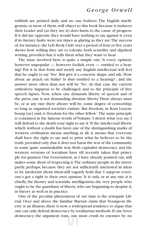#### *George Orwell*

rubbish are printed daily and no one bothers. The English intelligentsia, or most of them, will object to this book because it traduces their Leader and (as they see it) does harm to the cause of progress. If it did me opposite they would have nothing to say against it, even if its literary faults were ten times as glaring as they are. The success of, for instance, the Left Book Club over a period of four or five years shows how willing they are to tolerate both scurrility and slipshod writing, provided that it tells them what they want to hear.

The issue involved here is quite a simple one: Is every opinion, however unpopular — however foolish, even — entitled to a hearing? Put it in that form and nearly any English intellectual will feel that he ought to say 'Yes'. But give it a concrete shape, and ask, 'How about an attack on Stalin? Is *that* entitled to a hearing?', and the answer more often than not will be 'No', In that case the current orthodoxy happens to be challenged, and so the principle of free speech lapses. Now, when one demands liberty of speech and of the press, one is not demanding absolute liberty. There always must be, or at any rate there always will be, some degree of censorship, so long as organised societies endure. But freedom, as Rosa Luxembourg [*sic*] said, is 'freedom for the other fellow'. The same principle is contained in the famous words of Voltaire: 'I detest what you say; I will defend to the death your right to say it.' If the intellectual liberty which without a doubt has been one of the distinguishing marks of western civilisation means anything at all, it means that everyone shall have the right to say and to print what he believes to be the truth, provided only that it does not harm the rest of the community in some quite unmistakable way. Both capitalist democracy and the western versions of Socialism have till recently taken that principle for granted. Our Government, as I have already pointed out, still makes some show of respecting it. The ordinary people in the streetpartly, perhaps, because they are not sufficiently interested in ideas to be intolerant about them-still vaguely hold that 'I suppose everyone's got a right to their own opinion.' It is only, or at any rate it is chiefly, the literary and scientific intelligentsia, the very people who ought to be the guardians of liberty, who are beginning to despise it, in theory as well as in practice.

democracy, the argument runs, one must crush its enemies by no<br> One of the peculiar phenomena of our time is the renegade Liberal. Over and above the familiar Marxist claim that 'bourgeois liberty' is an illusion, there is now a widespread tendency to argue that one can only defend democracy by totalitarian methods. If one loves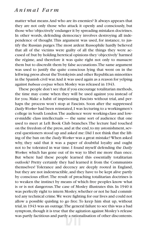matter what means. And who are its enemies? It always appears that they are not only those who attack it openly and consciously, but those who 'objectively' endanger it by spreading mistaken doctrines. In other words, defending democracy involves destroying all independence of thought. This argument was used, for instance, to justify the Russian purges. The most ardent Russophile hardly believed that all of the victims were guilty of all the things they were accused of: but by holding heretical opinions they 'objectively' harmed the régime, and therefore it was quite right not only to massacre them but to discredit them by false accusations. The same argument was used to justify the quite conscious lying that went on in the leftwing press about the Trotskyists and other Republican minorities in the Spanish civil war. And it was used again as a reason for yelping against *habeas corpus* when Mosley was released in 1943.

was partly factitious and partly a rationalisation of other discontents. These people don't see that if you encourage totalitarian methods, the time may come when they will be used against you instead of for you. Make a habit of imprisoning Fascists without trial, and perhaps the process won't stop at Fascists. Soon after the suppressed *Daily Worker* had been reinstated, I was lecturing to a workingmen's college in South London. The audience were working-class and lower-middle class intellectuals — the same sort of audience that one used to meet at Left Book Club branches. The lecture had touched on the freedom of the press, and at the end, to my astonishment, several questioners stood up and asked me: Did I not think that the lifting of the ban on the *Daily Worker* was a great mistake? When asked why, they said that it was a paper of doubtful loyalty and ought not to be tolerated in war time. I found myself defending the *Daily Worker,* which has gone out of its way to libel me more than once. But where had these people learned this essentially totalitarian outlook? Pretty certainly they had learned it from the Communists themselves! Tolerance and decency are deeply rooted in England, but they are not indestructible, and they have to be kept alive partly by conscious effort. The result of preaching totalitarian doctrines is to weaken the instinct by means of which free peoples know what is or is not dangerous. The case of Mosley illustrates this. In 1940 it was perfectly right to intern Mosley, whether or not he had committed any technical crime. We were fighting for our lives and could not allow a possible quisling to go free. To keep him shut up, without trial, in 1943 was an outrage. The general failure to see this was a bad symptom, though it is true that the agitation against Mosley's release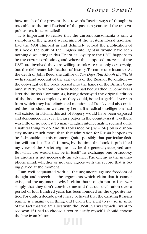how much of the present slide towards Fascist ways of thought is traceable to the 'anti-Fascism' of the past ten years and the unscrupulousness it has entailed?

It is important to realise that the current Russomania is only a symptom of the general weakening of the western liberal tradition. Had the MOI chipped in and definitely vetoed the publication of this book, the bulk of the English intelligentsia would have seen nothing disquieting in this. Uncritical loyalty to the USSR happens to be the current orthodoxy, and where the supposed interests of the USSR are involved they are willing to tolerate not only censorship, but the deliberate falsification of history. To name one instance. At the death of John Reed, the author of *Ten Days that Shook the World* — first-hand account of the early days of the Russian Revolution the copyright of the book passed into the hands of the British Communist Party, to whom I believe Reed had bequeathed it. Some years later the British Communists, having destroyed the original edition of the book as completely as they could, issued a garbled version from which they had eliminated mentions of Trotsky and also omitted the introduction written by Lenin. If a radical intelligentsia had still existed in Britain, this act of forgery would have been exposed and denounced in every literary paper in the country. As it was there was little or no protest. To many English intellectuals it seemed quite a natural thing to do. And this tolerance or [*sic* = of?] plain dishonesty means much more than that admiration for Russia happens to be fashionable at this moment. Quite possibly that particular fashion will not last. For all I know, by the time this book is published my view of the Soviet régime may be the generally-accepted one. But what use would that be in itself? To exchange one orthodoxy for another is not necessarily an advance. The enemy is the gramophone mind, whether or not one agrees with the record that is being played at the moment.

I am well acquainted with all the arguments against freedom of thought and speech — the arguments which claim that it cannot exist, and the arguments which claim that it ought not to. I answer simply that they don't convince me and that our civilisation over a period of four hundred years has been founded on the opposite notice. For quite a decade past I have believed that the existing Russian régime is a mainly evil thing, and I claim the right to say so, in spite of the fact that we are allies with the USSR in a war which I want to see won. If I had to choose a text to justify myself, I should choose the line from Milton: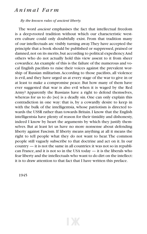*By the known rules of ancient liberty.*

The word *ancient* emphasises the fact that intellectual freedom is a deep-rooted tradition without which our characteristic western culture could only doubtfully exist. From that tradition many of our intellectuals arc visibly turning away. They have accepted the principle that a book should be published or suppressed, praised or damned, not on its merits, but according to political expediency. And others who do not actually hold this view assent to it from sheer cowardice. An example of this is the failure of the numerous and vocal English pacifists to raise their voices against the prevalent worship of Russian militarism. According to those pacifists, all violence is evil, and they have urged us at every stage of the war to give in or at least to make a compromise peace. But how many of them have ever suggested that war is also evil when it is waged by the Red Army? Apparently the Russians have a right to defend themselves, whereas for us to do [so] is a deadly sin. One can only explain this contradiction in one way: that is, by a cowardly desire to keep in with the bulk of the intelligentsia, whose patriotism is directed towards the USSR rather than towards Britain. I know that the English intelligentsia have plenty of reason for their timidity and dishonesty, indeed I know by heart the arguments by which they justify themselves. But at least let us have no more nonsense about defending liberty against Fascism. If liberty means anything at all it means the right to tell people what they do not want to hear. The common people still vaguely subscribe to that doctrine and act on it. In our country — it is not the same in all countries: it was not so in republican France, and it is not so in the USA today — it is the liberals who fear liberty and the intellectuals who want to do dirt on the intellect: it is to draw attention to that fact that I have written this preface.

i x

1945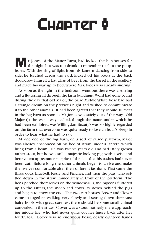### <span id="page-15-0"></span>CHAPTET **I**

Mr. Jones, of the Manor Farm, had locked the hen-houses for the night, but was too drunk to remember to shut the poopholes. With the ring of light from his lantern dancing from side to side, he lurched across the yard, kicked off his boots at the back door, drew himself a last glass of beer from the barrel in the scullery, and made his way up to bed, where Mrs. Jones was already snoring.

As soon as the light in the bedroom went out there was a stirring and a fluttering all through the farm buildings. Word had gone round during the day that old Major, the prize Middle White boar, had had a strange dream on the previous night and wished to communicate it to the other animals. It had been agreed that they should all meet in the big barn as soon as Mr. Jones was safely out of the way. Old Major (so he was always called, though the name under which he had been exhibited was Willingdon Beauty) was so highly regarded on the farm that everyone was quite ready to lose an hour's sleep in order to hear what he had to say.

1 fourth foal. Boxer was an enormous beast, nearly eighteen hands At one end of the big barn, on a sort of raised platform, Major was already ensconced on his bed of straw, under a lantern which hung from a beam. He was twelve years old and had lately grown rather stout, but he was still a majestic-looking pig, with a wise and benevolent appearance in spite of the fact that his tushes had never been cut. Before long the other animals began to arrive and make themselves comfortable after their different fashions. First came the three dogs, Bluebell, Jessie, and Pincher, and then the pigs, who settled down in the straw immediately in front of the platform. The hens perched themselves on the window-sills, the pigeons fluttered up to the rafters, the sheep and cows lay down behind the pigs and began to chew the cud. The two cart-horses, Boxer and Clover, came in together, walking very slowly and setting down their vast hairy hoofs with great care lest there should be some small animal concealed in the straw. Clover was a stout motherly mare approaching middle life, who had never quite got her figure back after her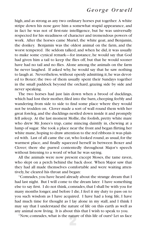high, and as strong as any two ordinary horses put together. A white stripe down his nose gave him a somewhat stupid appearance, and in fact he was not of first-rate intelligence, but he was universally respected for his steadiness of character and tremendous powers of work. After the horses came Muriel, the white goat, and Benjamin, the donkey. Benjamin was the oldest animal on the farm, and the worst tempered. He seldom talked, and when he did, it was usually to make some cynical remark—for instance, he would say that God had given him a tail to keep the flies off, but that he would sooner have had no tail and no flies. Alone among the animals on the farm he never laughed. If asked why, he would say that he saw nothing to laugh at. Nevertheless, without openly admitting it, he was devoted to Boxer; the two of them usually spent their Sundays together in the small paddock beyond the orchard, grazing side by side and never speaking.

The two horses had just lain down when a brood of ducklings, which had lost their mother, filed into the barn, cheeping feebly and wandering from side to side to find some place where they would not be trodden on. Clover made a sort of wall round them with her great foreleg, and the ducklings nestled down inside it and promptly fell asleep. At the last moment Mollie, the foolish, pretty white mare who drew Mr. Jones's trap, came mincing daintily in, chewing at a lump of sugar. She took a place near the front and began flirting her white mane, hoping to draw attention to the red ribbons it was plaited with. Last of all came the cat, who looked round, as usual, for the warmest place, and finally squeezed herself in between Boxer and Clover; there she purred contentedly throughout Major's speech without listening to a word of what he was saying.

All the animals were now present except Moses, the tame raven, who slept on a perch behind the back door. When Major saw that they had all made themselves comfortable and were waiting attentively, he cleared his throat and began:

"Comrades, you have heard already about the strange dream that I had last night. But I will come to the dream later. I have something else to say first. I do not think, comrades, that I shall be with you for many months longer, and before I die, I feel it my duty to pass on to you such wisdom as I have acquired. I have had a long life, I have had much time for thought as I lay alone in my stall, and I think I may say that I understand the nature of life on this earth as well as any animal now living. It is about this that I wish to speak to you.

2 "Now, comrades, what is the nature of this life of ours? Let us face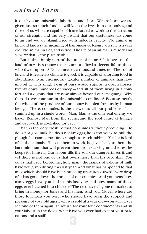it: our lives are miserable, laborious, and short. We are born, we are given just so much food as will keep the breath in our bodies, and those of us who are capable of it are forced to work to the last atom of our strength; and the very instant that our usefulness has come to an end we are slaughtered with hideous cruelty. No animal in England knows the meaning of happiness or leisure after he is a year old. No animal in England is free. The life of an animal is misery and slavery: that is the plain truth.

"But is this simply part of the order of nature? Is it because this land of ours is so poor that it cannot afford a decent life to those who dwell upon it? No, comrades, a thousand times no! The soil of England is fertile, its climate is good, it is capable of affording food in abundance to an enormously greater number of animals than now inhabit it. This single farm of ours would support a dozen horses, twenty cows, hundreds of sheep—and all of them living in a comfort and a dignity that are now almost beyond our imagining. Why then do we continue in this miserable condition? Because nearly the whole of the produce of our labour is stolen from us by human beings. There, comrades, is the answer to all our problems. It is summed up in a single word—Man. Man is the only real enemy we have. Remove Man from the scene, and the root cause of hunger and overwork is abolished for ever.

"Man is the only creature that consumes without producing. He does not give milk, he does not lay eggs, he is too weak to pull the plough, he cannot run fast enough to catch rabbits. Yet he is lord of all the animals. He sets them to work, he gives back to them the bare minimum that will prevent them from starving, and the rest he keeps for himself. Our labour tills the soil, our dung fertilises it, and yet there is not one of us that owns more than his bare skin. You cows that I see before me, how many thousands of gallons of milk have you given during this last year? And what has happened to that milk which should have been breeding up sturdy calves? Every drop of it has gone down the throats of our enemies. And you hens, how many eggs have you laid in this last year, and how many of those eggs ever hatched into chickens? The rest have all gone to market to bring in money for Jones and his men. And you, Clover, where are those four foals you bore, who should have been the support and pleasure of your old age? Each was sold at a year old—you will never see one of them again. In return for your four confinements and all your labour in the fields, what have you ever had except your bare rations and a stall?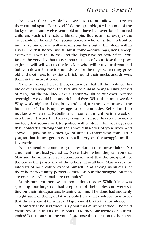"And even the miserable lives we lead are not allowed to reach their natural span. For myself I do not grumble, for I am one of the lucky ones. I am twelve years old and have had over four hundred children. Such is the natural life of a pig. But no animal escapes the cruel knife in the end. You young porkers who are sitting in front of me, every one of you will scream your lives out at the block within a year. To that horror we all must come—cows, pigs, hens, sheep, everyone. Even the horses and the dogs have no better fate. You, Boxer, the very day that those great muscles of yours lose their power, Jones will sell you to the knacker, who will cut your throat and boil you down for the foxhounds. As for the dogs, when they grow old and toothless, Jones ties a brick round their necks and drowns them in the nearest pond.

"Is it not crystal clear, then, comrades, that all the evils of this life of ours spring from the tyranny of human beings? Only get rid of Man, and the produce of our labour would be our own. Almost overnight we could become rich and free. What then must we do? Why, work night and day, body and soul, for the overthrow of the human race! That is my message to you, comrades: Rebellion! I do not know when that Rebellion will come, it might be in a week or in a hundred years, but I know, as surely as I see this straw beneath my feet, that sooner or later justice will be done. Fix your eyes on that, comrades, throughout the short remainder of your lives! And above all, pass on this message of mine to those who come after you, so that future generations shall carry on the struggle until it is victorious.

"And remember, comrades, your resolution must never falter. No argument must lead you astray. Never listen when they tell you that Man and the animals have a common interest, that the prosperity of the one is the prosperity of the others. It is all lies. Man serves the interests of no creature except himself. And among us animals let there be perfect unity, perfect comradeship in the struggle. All men are enemies. All animals are comrades."

At this moment there was a tremendous uproar. While Major was speaking four large rats had crept out of their holes and were sitting on their hindquarters, listening to him. The dogs had suddenly caught sight of them, and it was only by a swift dash for their holes that the rats saved their lives. Major raised his trotter for silence.

emies? Let us put it to the vote. I propose this question to the meet-<br> "Comrades," he said, "here is a point that must be settled. The wild creatures, such as rats and rabbits—are they our friends or our en-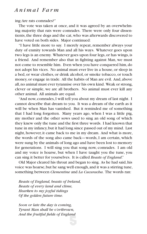ing: Are rats comrades?"

The vote was taken at once, and it was agreed by an overwhelming majority that rats were comrades. There were only four dissentients, the three dogs and the cat, who was afterwards discovered to have voted on both sides. Major continued:

"I have little more to say. I merely repeat, remember always your duty of enmity towards Man and all his ways. Whatever goes upon two legs is an enemy. Whatever goes upon four legs, or has wings, is a friend. And remember also that in fighting against Man, we must not come to resemble him. Even when you have conquered him, do not adopt his vices. No animal must ever live in a house, or sleep in a bed, or wear clothes, or drink alcohol, or smoke tobacco, or touch money, or engage in trade. All the habits of Man are evil. And, above all, no animal must ever tyrannise over his own kind. Weak or strong, clever or simple, we are all brothers. No animal must ever kill any other animal. All animals are equal.

"And now, comrades, I will tell you about my dream of last night. I cannot describe that dream to you. It was a dream of the earth as it will be when Man has vanished. But it reminded me of something that I had long forgotten. Many years ago, when I was a little pig, my mother and the other sows used to sing an old song of which they knew only the tune and the first three words. I had known that tune in my infancy, but it had long since passed out of my mind. Last night, however, it came back to me in my dream. And what is more, the words of the song also came back—words, I am certain, which were sung by the animals of long ago and have been lost to memory for generations. I will sing you that song now, comrades. I am old and my voice is hoarse, but when I have taught you the tune, you can sing it better for yourselves. It is called *Beasts of England*."

Old Major cleared his throat and began to sing. As he had said, his voice was hoarse, but he sang well enough, and it was a stirring tune, something between *Clementine* and *La Cucuracha*. The words ran:

*Beasts of England, beasts of Ireland, Beasts of every land and clime, Hearken to my joyful tidings Of the golden future time.*

*Soon or late the day is coming, Tyrant Man shall be o'erthrown, And the fruitful fields of England*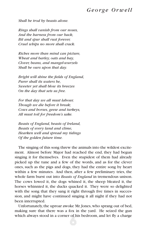*Shall be trod by beasts alone.*

*Rings shall vanish from our noses, And the harness from our back, Bit and spur shall rust forever, Cruel whips no more shall crack.*

*Riches more than mind can picture, Wheat and barley, oats and hay, Clover, beans, and mangel-wurzels Shall be ours upon that day.*

*Bright will shine the fields of England, Purer shall its waters be, Sweeter yet shall blow its breezes On the day that sets us free.*

*For that day we all must labour, Though we die before it break; Cows and horses, geese and turkeys, All must toil for freedom's sake.*

*Beasts of England, beasts of Ireland, Beasts of every land and clime, Hearken well and spread my tidings Of the golden future time.*

The singing of this song threw the animals into the wildest excitement. Almost before Major had reached the end, they had begun singing it for themselves. Even the stupidest of them had already picked up the tune and a few of the words, and as for the clever ones, such as the pigs and dogs, they had the entire song by heart within a few minutes. And then, after a few preliminary tries, the whole farm burst out into *Beasts of England* in tremendous unison. The cows lowed it, the dogs whined it, the sheep bleated it, the horses whinnied it, the ducks quacked it. They were so delighted with the song that they sang it right through five times in succession, and might have continued singing it all night if they had not been interrupted.

which always stood in a corner of his bedroom, and let fly a charge  $\overline{a}$ Unfortunately, the uproar awoke Mr. Jones, who sprang out of bed, making sure that there was a fox in the yard. He seized the gun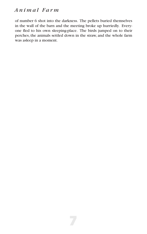of number 6 shot into the darkness. The pellets buried themselves in the wall of the barn and the meeting broke up hurriedly. Everyone fled to his own sleeping-place. The birds jumped on to their perches, the animals settled down in the straw, and the whole farm was asleep in a moment.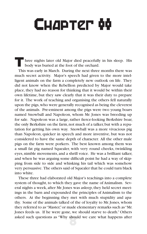## <span id="page-22-0"></span>CHAPTE<sub>r</sub> 00

hree nights later old Major died peacefully in his sleep. His body was buried at the foot of the orchard.

This was early in March. During the next three months there was much secret activity. Major's speech had given to the more intelligent animals on the farm a completely new outlook on life. They did not know when the Rebellion predicted by Major would take place, they had no reason for thinking that it would be within their own lifetime, but they saw clearly that it was their duty to prepare for it. The work of teaching and organising the others fell naturally upon the pigs, who were generally recognised as being the cleverest of the animals. Pre-eminent among the pigs were two young boars named Snowball and Napoleon, whom Mr. Jones was breeding up for sale. Napoleon was a large, rather fierce-looking Berkshire boar, the only Berkshire on the farm, not much of a talker, but with a reputation for getting his own way. Snowball was a more vivacious pig than Napoleon, quicker in speech and more inventive, but was not considered to have the same depth of character. All the other male pigs on the farm were porkers. The best known among them was a small fat pig named Squealer, with very round cheeks, twinkling eyes, nimble movements, and a shrill voice. He was a brilliant talker, and when he was arguing some difficult point he had a way of skipping from side to side and whisking his tail which was somehow very persuasive. The others said of Squealer that he could turn black into white.

asked such questions as "Why should we care what happens after all the state of  $\frac{1}{2}$ These three had elaborated old Major's teachings into a complete system of thought, to which they gave the name of Animalism. Several nights a week, after Mr. Jones was asleep, they held secret meetings in the barn and expounded the principles of Animalism to the others. At the beginning they met with much stupidity and apathy. Some of the animals talked of the of loyalty to Mr. Jones, whom they referred to as "Master," or made elementary remarks such as "Mr. Jones feeds us. If he were gone, we should starve to death." Others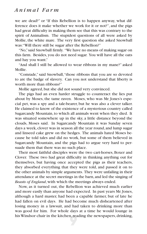we are dead?" or "If this Rebellion is to happen anyway, what difference does it make whether we work for it or not?", and the pigs had great difficulty in making them see that this was contrary to the spirit of Animalism. The stupidest questions of all were asked by Mollie, the white mare. The very first question she asked Snowball was: "Will there still be sugar after the Rebellion?"

"No," said Snowball firmly. "We have no means of making sugar on this farm. Besides, you do not need sugar. You will have all the oats and hay you want."

"And shall I still be allowed to wear ribbons in my mane?" asked Mollie.

"Comrade," said Snowball, "those ribbons that you are so devoted to are the badge of slavery. Can you not understand that liberty is worth more than ribbons?"

Mollie agreed, but she did not sound very convinced.

The pigs had an even harder struggle to counteract the lies put about by Moses, the tame raven. Moses, who was Mr. Jones's especial pet, was a spy and a tale-bearer, but he was also a clever talker. He claimed to know of the existence of a mysterious country called Sugarcandy Mountain, to which all animals went when they died. It was situated somewhere up in the sky, a little distance beyond the clouds, Moses said. In Sugarcandy Mountain it was Sunday seven days a week, clover was in season all the year round, and lump sugar and linseed cake grew on the hedges. The animals hated Moses because he told tales and did no work, but some of them believed in Sugarcandy Mountain, and the pigs had to argue very hard to persuade them that there was no such place.

Their most faithful disciples were the two cart-horses, Boxer and Clover. These two had great difficulty in thinking anything out for themselves, but having once accepted the pigs as their teachers, they absorbed everything that they were told, and passed it on to the other animals by simple arguments. They were unfailing in their attendance at the secret meetings in the barn, and led the singing of *Beasts of England*, with which the meetings always ended.

his Windsor chair in the kitchen, reading the newspapers, drinking,<br> $\overline{\phantom{a}}$ Now, as it turned out, the Rebellion was achieved much earlier and more easily than anyone had expected. In past years Mr. Jones, although a hard master, had been a capable farmer, but of late he had fallen on evil days. He had become much disheartened after losing money in a lawsuit, and had taken to drinking more than was good for him. For whole days at a time he would lounge in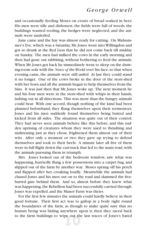and occasionally feeding Moses on crusts of bread soaked in beer. His men were idle and dishonest, the fields were full of weeds, the buildings wanted roofing, the hedges were neglected, and the animals were underfed.

June came and the hay was almost ready for cutting. On Midsummer's Eve, which was a Saturday, Mr. Jones went into Willingdon and got so drunk at the Red Lion that he did not come back till midday on Sunday. The men had milked the cows in the early morning and then had gone out rabbiting, without bothering to feed the animals. When Mr. Jones got back he immediately went to sleep on the drawing-room sofa with the *News of the World* over his face, so that when evening came, the animals were still unfed. At last they could stand it no longer. One of the cows broke in the door of the store-shed with her horn and all the animals began to help themselves from the bins. It was just then that Mr. Jones woke up. The next moment he and his four men were in the store-shed with whips in their hands, lashing out in all directions. This was more than the hungry animals could bear. With one accord, though nothing of the kind had been planned beforehand, they flung themselves upon their tormentors. Jones and his men suddenly found themselves being butted and kicked from all sides. The situation was quite out of their control. They had never seen animals behave like this before, and this sudden uprising of creatures whom they were used to thrashing and maltreating just as they chose, frightened them almost out of their wits. After only a moment or two they gave up trying to defend themselves and took to their heels. A minute later all five of them were in full flight down the cart-track that led to the main road, with the animals pursuing them in triumph.

Mrs. Jones looked out of the bedroom window, saw what was happening, hurriedly flung a few possessions into a carpet bag, and slipped out of the farm by another way. Moses sprang off his perch and flapped after her, croaking loudly. Meanwhile the animals had chased Jones and his men out on to the road and slammed the fivebarred gate behind them. And so, almost before they knew what was happening, the Rebellion had been successfully carried through: Jones was expelled, and the Manor Farm was theirs.

to the farm buildings to wipe out the last traces of Jones's hated<br> For the first few minutes the animals could hardly believe in their good fortune. Their first act was to gallop in a body right round the boundaries of the farm, as though to make quite sure that no human being was hiding anywhere upon it; then they raced back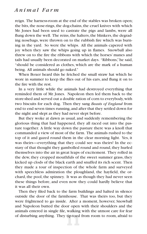reign. The harness-room at the end of the stables was broken open; the bits, the nose-rings, the dog-chains, the cruel knives with which Mr. Jones had been used to castrate the pigs and lambs, were all flung down the well. The reins, the halters, the blinkers, the degrading nosebags, were thrown on to the rubbish fire which was burning in the yard. So were the whips. All the animals capered with joy when they saw the whips going up in flames. Snowball also threw on to the fire the ribbons with which the horses' manes and tails had usually been decorated on market days. "Ribbons," he said, "should be considered as clothes, which are the mark of a human being. All animals should go naked."

When Boxer heard this he fetched the small straw hat which he wore in summer to keep the flies out of his ears, and flung it on to the fire with the rest.

In a very little while the animals had destroyed everything that reminded them of Mr. Jones. Napoleon then led them back to the store-shed and served out a double ration of corn to everybody, with two biscuits for each dog. Then they sang *Beasts of England* from end to end seven times running, and after that they settled down for the night and slept as they had never slept before.

But they woke at dawn as usual, and suddenly remembering the glorious thing that had happened, they all raced out into the pasture together. A little way down the pasture there was a knoll that commanded a view of most of the farm. The animals rushed to the top of it and gazed round them in the clear morning light. Yes, it was theirs—everything that they could see was theirs! In the ecstasy of that thought they gambolled round and round, they hurled themselves into the air in great leaps of excitement. They rolled in the dew, they cropped mouthfuls of the sweet summer grass, they kicked up clods of the black earth and snuffed its rich scent. Then they made a tour of inspection of the whole farm and surveyed with speechless admiration the ploughland, the hayfield, the orchard, the pool, the spinney. It was as though they had never seen these things before, and even now they could hardly believe that it was all their own.

Then they filed back to the farm buildings and halted in silence outside the door of the farmhouse. That was theirs too, but they were frightened to go inside. After a moment, however, Snowball and Napoleon butted the door open with their shoulders and the animals entered in single file, walking with the utmost care for fear of disturbing anything. They tip-toed from room to room, afraid to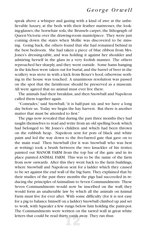speak above a whisper and gazing with a kind of awe at the unbelievable luxury, at the beds with their feather mattresses, the looking-glasses, the horsehair sofa, the Brussels carpet, the lithograph of Queen Victoria over the drawing-room mantelpiece. They were just coming down the stairs when Mollie was discovered to be missing. Going back, the others found that she had remained behind in the best bedroom. She had taken a piece of blue ribbon from Mrs. Jones's dressing-table, and was holding it against her shoulder and admiring herself in the glass in a very foolish manner. The others reproached her sharply, and they went outside. Some hams hanging in the kitchen were taken out for burial, and the barrel of beer in the scullery was stove in with a kick from Boxer's hoof, otherwise nothing in the house was touched. A unanimous resolution was passed on the spot that the farmhouse should be preserved as a museum. All were agreed that no animal must ever live there.

The animals had their breakfast, and then Snowball and Napoleon called them together again.

"Comrades," said Snowball, "it is half-past six and we have a long day before us. Today we begin the hay harvest. But there is another matter that must be attended to first."

The pigs now revealed that during the past three months they had taught themselves to read and write from an old spelling book which had belonged to Mr. Jones's children and which had been thrown on the rubbish heap. Napoleon sent for pots of black and white paint and led the way down to the five-barred gate that gave on to the main road. Then Snowball (for it was Snowball who was best at writing) took a brush between the two knuckles of his trotter, painted out MANOR FARM from the top bar of the gate and in its place painted ANIMAL FARM. This was to be the name of the farm from now onwards. After this they went back to the farm buildings, where Snowball and Napoleon sent for a ladder which they caused to be set against the end wall of the big barn. They explained that by their studies of the past three months the pigs had succeeded in reducing the principles of Animalism to Seven Commandments. These Seven Commandments would now be inscribed on the wall; they would form an unalterable law by which all the animals on Animal Farm must live for ever after. With some difficulty (for it is not easy for a pig to balance himself on a ladder) Snowball climbed up and set to work, with Squealer a few rungs below him holding the paint-pot. The Commandments were written on the tarred wall in great white letters that could be read thirty yards away. They ran thus: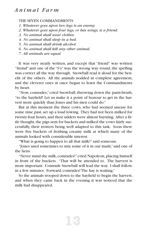#### THE SEVEN COMMANDMENTS

- *1. Whatever goes upon two legs is an enemy.*
- *2. Whatever goes upon four legs, or has wings, is a friend.*
- *3. No animal shall wear clothes.*
- *4. No animal shall sleep in a bed.*
- *5. No animal shall drink alcohol.*
- *6. No animal shall kill any other animal.*
- *7. All animals are equal.*

It was very neatly written, and except that "friend" was written "freind" and one of the "S's" was the wrong way round, the spelling was correct all the way through. Snowball read it aloud for the benefit of the others. All the animals nodded in complete agreement, and the cleverer ones at once began to learn the Commandments by heart.

"Now, comrades," cried Snowball, throwing down the paint-brush, "to the hayfield! Let us make it a point of honour to get in the harvest more quickly than Jones and his men could do."

But at this moment the three cows, who had seemed uneasy for some time past, set up a loud lowing. They had not been milked for twenty-four hours, and their udders were almost bursting. After a little thought, the pigs sent for buckets and milked the cows fairly successfully, their trotters being well adapted to this task. Soon there were five buckets of frothing creamy milk at which many of the animals looked with considerable interest.

"What is going to happen to all that milk?" said someone.

"Jones used sometimes to mix some of it in our mash," said one of the hens.

"Never mind the milk, comrades!" cried Napoleon, placing himself in front of the buckets. "That will be attended to. The harvest is more important. Comrade Snowball will lead the way. I shall follow in a few minutes. Forward, comrades! The hay is waiting."

So the animals trooped down to the hayfield to begin the harvest, and when they came back in the evening it was noticed that the milk had disappeared.

1 3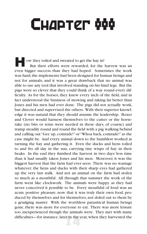## <span id="page-28-0"></span>CHAPTE<sub>r</sub> 000

difficulties—for instance, later in the year, when they harvested the<br> How they toiled and sweated to get the hay in! But their efforts were rewarded, for the harvest was an even bigger success than they had hoped. Sometimes the work was hard; the implements had been designed for human beings and not for animals, and it was a great drawback that no animal was able to use any tool that involved standing on his hind legs. But the pigs were so clever that they could think of a way round every difficulty. As for the horses, they knew every inch of the field, and in fact understood the business of mowing and raking far better than Jones and his men had ever done. The pigs did not actually work, but directed and supervised the others. With their superior knowledge it was natural that they should assume the leadership. Boxer and Clover would harness themselves to the cutter or the horserake (no bits or reins were needed in these days, of course) and tramp steadily round and round the field with a pig walking behind and calling out "Gee up, comrade!" or "Whoa back, comrade!" as the case might be. And every animal down to the humblest worked at turning the hay and gathering it. Even the ducks and hens toiled to and fro all day in the sun, carrying tiny wisps of hay in their beaks. In the end they finished the harvest in two days' less time than it had usually taken Jones and his men. Moreover, it was the biggest harvest that the farm had ever seen. There was no wastage whatever; the hens and ducks with their sharp eyes had gathered up the very last stalk. And not an animal on the farm had stolen so much as a mouthful. All through that summer the work of the farm went like clockwork. The animals were happy as they had never conceived it possible to be. Every mouthful of food was an acute positive pleasure, now that it was truly their own food, produced by themselves and for themselves, not doled out to them by a grudging master. With the worthless parasitical human beings gone, there was more for everyone to eat. There was more leisure too, inexperienced though the animals were. They met with many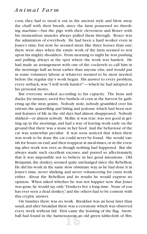corn, they had to tread it out in the ancient style and blow away the chaff with their breath, since the farm possessed no threshing machine—but the pigs with their cleverness and Boxer with his tremendous muscles always pulled them through. Boxer was the admiration of everybody. He had been a hard worker even in Jones's time, but now he seemed more like three horses than one; there were days when the entire work of the farm seemed to rest upon his mighty shoulders. From morning to night he was pushing and pulling, always at the spot where the work was hardest. He had made an arrangement with one of the cockerels to call him in the mornings half an hour earlier than anyone else, and would put in some volunteer labour at whatever seemed to be most needed, before the regular day's work began. His answer to every problem, every setback, was "I will work harder!"—which he had adopted as his personal motto.

But everyone worked according to his capacity. The hens and ducks, for instance, saved five bushels of corn at the harvest by gathering up the stray grains. Nobody stole, nobody grumbled over his rations, the quarrelling and biting and jealousy which had been normal features of life in the old days had almost disappeared. Nobody shirked—or almost nobody. Mollie, it was true, was not good at getting up in the mornings, and had a way of leaving work early on the ground that there was a stone in her hoof. And the behaviour of the cat was somewhat peculiar. It was soon noticed that when there was work to be done the cat could never be found. She would vanish for hours on end, and then reappear at meal-times, or in the evening after work was over, as though nothing had happened. But she always made such excellent excuses, and purred so affectionately, that it was impossible not to believe in her good intentions. Old Benjamin, the donkey, seemed quite unchanged since the Rebellion. He did his work in the same slow obstinate way as he had done it in Jones's time, never shirking and never volunteering for extra work either. About the Rebellion and its results he would express no opinion. When asked whether he was not happier now that Jones was gone, he would say only "Donkeys live a long time. None of you has ever seen a dead donkey," and the others had to be content with this cryptic answer.

ball had found in the harness-room an old green tablecloth of Mrs.<br> On Sundays there was no work. Breakfast was an hour later than usual, and after breakfast there was a ceremony which was observed every week without fail. First came the hoisting of the flag. Snow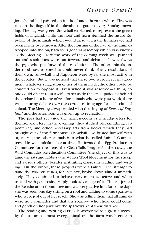Jones's and had painted on it a hoof and a horn in white. This was run up the flagstaff in the farmhouse garden every Sunday morning. The flag was green, Snowball explained, to represent the green fields of England, while the hoof and horn signified the future Republic of the Animals which would arise when the human race had been finally overthrown. After the hoisting of the flag all the animals trooped into the big barn for a general assembly which was known as the Meeting. Here the work of the coming week was planned out and resolutions were put forward and debated. It was always the pigs who put forward the resolutions. The other animals understood how to vote, but could never think of any resolutions of their own. Snowball and Napoleon were by far the most active in the debates. But it was noticed that these two were never in agreement: whatever suggestion either of them made, the other could be counted on to oppose it. Even when it was resolved—a thing no one could object to in itself—to set aside the small paddock behind the orchard as a home of rest for animals who were past work, there was a stormy debate over the correct retiring age for each class of animal. The Meeting always ended with the singing of *Beasts of England*, and the afternoon was given up to recreation.

The pigs had set aside the harness-room as a headquarters for themselves. Here, in the evenings, they studied blacksmithing, carpentering, and other necessary arts from books which they had brought out of the farmhouse. Snowball also busied himself with organising the other animals into what he called Animal Committees. He was indefatigable at this. He formed the Egg Production Committee for the hens, the Clean Tails League for the cows, the Wild Comrades' Re-education Committee (the object of this was to tame the rats and rabbits), the Whiter Wool Movement for the sheep, and various others, besides instituting classes in reading and writing. On the whole, these projects were a failure. The attempt to tame the wild creatures, for instance, broke down almost immediately. They continued to behave very much as before, and when treated with generosity, simply took advantage of it. The cat joined the Re-education Committee and was very active in it for some days. She was seen one day sitting on a roof and talking to some sparrows who were just out of her reach. She was telling them that all animals were now comrades and that any sparrow who chose could come and perch on her paw; but the sparrows kept their distance.

By the autumn almost every animal on the farm was literate in The reading and writing classes, however, were a great success.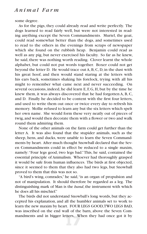some degree.

As for the pigs, they could already read and write perfectly. The dogs learned to read fairly well, but were not interested in reading anything except the Seven Commandments. Muriel, the goat, could read somewhat better than the dogs, and sometimes used to read to the others in the evenings from scraps of newspaper which she found on the rubbish heap. Benjamin could read as well as any pig, but never exercised his faculty. So far as he knew, he said, there was nothing worth reading. Clover learnt the whole alphabet, but could not put words together. Boxer could not get beyond the letter D. He would trace out A, B, C, D, in the dust with his great hoof, and then would stand staring at the letters with his ears back, sometimes shaking his forelock, trying with all his might to remember what came next and never succeeding. On several occasions, indeed, he did learn E, F, G, H, but by the time he knew them, it was always discovered that he had forgotten A, B, C, and D. Finally he decided to be content with the first four letters, and used to write them out once or twice every day to refresh his memory. Mollie refused to learn any but the six letters which spelt her own name. She would form these very neatly out of pieces of twig, and would then decorate them with a flower or two and walk round them admiring them.

None of the other animals on the farm could get further than the letter A. It was also found that the stupider animals, such as the sheep, hens, and ducks, were unable to learn the Seven Commandments by heart. After much thought Snowball declared that the Seven Commandments could in effect be reduced to a single maxim, namely: "Four legs good, two legs bad." This, he said, contained the essential principle of Animalism. Whoever had thoroughly grasped it would be safe from human influences. The birds at first objected, since it seemed to them that they also had two legs, but Snowball proved to them that this was not so.

"A bird's wing, comrades," he said, "is an organ of propulsion and not of manipulation. It should therefore be regarded as a leg. The distinguishing mark of Man is the *hand*, the instrument with which he does all his mischief."

mandments and in bigger letters. When they had once got it by The birds did not understand Snowball's long words, but they accepted his explanation, and all the humbler animals set to work to learn the new maxim by heart. FOUR LEGS GOOD, TWO LEGS BAD, was inscribed on the end wall of the barn, above the Seven Com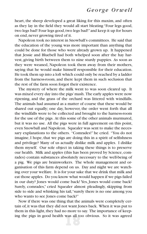heart, the sheep developed a great liking for this maxim, and often as they lay in the field they would all start bleating "Four legs good, two legs bad! Four legs good, two legs bad!" and keep it up for hours on end, never growing tired of it.

Napoleon took no interest in Snowball's committees. He said that the education of the young was more important than anything that could be done for those who were already grown up. It happened that Jessie and Bluebell had both whelped soon after the hay harvest, giving birth between them to nine sturdy puppies. As soon as they were weaned, Napoleon took them away from their mothers, saying that he would make himself responsible for their education. He took them up into a loft which could only be reached by a ladder from the harness-room, and there kept them in such seclusion that the rest of the farm soon forgot their existence.

The mystery of where the milk went to was soon cleared up. It was mixed every day into the pigs' mash. The early apples were now ripening, and the grass of the orchard was littered with windfalls. The animals had assumed as a matter of course that these would be shared out equally; one day, however, the order went forth that all the windfalls were to be collected and brought to the harness-room for the use of the pigs. At this some of the other animals murmured, but it was no use. All the pigs were in full agreement on this point, even Snowball and Napoleon. Squealer was sent to make the necessary explanations to the others. "Comrades!" he cried. "You do not imagine, I hope, that we pigs are doing this in a spirit of selfishness and privilege? Many of us actually dislike milk and apples. I dislike them myself. Our sole object in taking these things is to preserve our health. Milk and apples (this has been proved by Science, comrades) contain substances absolutely necessary to the well-being of a pig. We pigs are brainworkers. The whole management and organisation of this farm depend on us. Day and night we are watching over your welfare. It is for your sake that we drink that milk and eat those apples. Do you know what would happen if we pigs failed in our duty? Jones would come back! Yes, Jones would come back! Surely, comrades," cried Squealer almost pleadingly, skipping from side to side and whisking his tail, "surely there is no one among you who wants to see Jones come back?"

ing the pigs in good health was all too obvious. So it was agreed<br>  $\frac{1}{2}$ Now if there was one thing that the animals were completely certain of, it was that they did not want Jones back. When it was put to them in this light, they had no more to say. The importance of keep-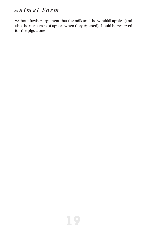without further argument that the milk and the windfall apples (and also the main crop of apples when they ripened) should be reserved for the pigs alone.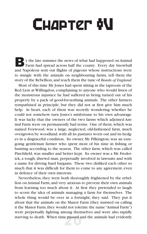## <span id="page-34-0"></span>CHAPTER **N**

By the late summer the news of what had happened on Animal Farm had spread across half the county. Every day Snowball and Napoleon sent out flights of pigeons whose instructions were to mingle with the animals on neighbouring farms, tell them the story of the Rebellion, and teach them the tune of *Beasts of England*.

Most of this time Mr. Jones had spent sitting in the taproom of the Red Lion at Willingdon, complaining to anyone who would listen of the monstrous injustice he had suffered in being turned out of his property by a pack of good-for-nothing animals. The other farmers sympathised in principle, but they did not at first give him much help. At heart, each of them was secretly wondering whether he could not somehow turn Jones's misfortune to his own advantage. It was lucky that the owners of the two farms which adjoined Animal Farm were on permanently bad terms. One of them, which was named Foxwood, was a large, neglected, old-fashioned farm, much overgrown by woodland, with all its pastures worn out and its hedges in a disgraceful condition. Its owner, Mr. Pilkington, was an easygoing gentleman farmer who spent most of his time in fishing or hunting according to the season. The other farm, which was called Pinchfield, was smaller and better kept. Its owner was a Mr. Frederick, a tough, shrewd man, perpetually involved in lawsuits and with a name for driving hard bargains. These two disliked each other so much that it was difficult for them to come to any agreement, even in defence of their own interests.

starving to death. When time passed and the animals had evidently<br> Nevertheless, they were both thoroughly frightened by the rebellion on Animal Farm, and very anxious to prevent their own animals from learning too much about it. At first they pretended to laugh to scorn the idea of animals managing a farm for themselves. The whole thing would be over in a fortnight, they said. They put it about that the animals on the Manor Farm (they insisted on calling it the Manor Farm; they would not tolerate the name "Animal Farm") were perpetually fighting among themselves and were also rapidly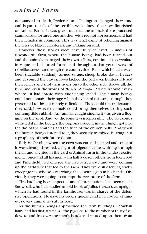not starved to death, Frederick and Pilkington changed their tune and began to talk of the terrible wickedness that now flourished on Animal Farm. It was given out that the animals there practised cannibalism, tortured one another with red-hot horseshoes, and had their females in common. This was what came of rebelling against the laws of Nature, Frederick and Pilkington said.

However, these stories were never fully believed. Rumours of a wonderful farm, where the human beings had been turned out and the animals managed their own affairs, continued to circulate in vague and distorted forms, and throughout that year a wave of rebelliousness ran through the countryside. Bulls which had always been tractable suddenly turned savage, sheep broke down hedges and devoured the clover, cows kicked the pail over, hunters refused their fences and shot their riders on to the other side. Above all, the tune and even the words of *Beasts of England* were known everywhere. It had spread with astonishing speed. The human beings could not contain their rage when they heard this song, though they pretended to think it merely ridiculous. They could not understand, they said, how even animals could bring themselves to sing such contemptible rubbish. Any animal caught singing it was given a flogging on the spot. And yet the song was irrepressible. The blackbirds whistled it in the hedges, the pigeons cooed it in the elms, it got into the din of the smithies and the tune of the church bells. And when the human beings listened to it, they secretly trembled, hearing in it a prophecy of their future doom.

Early in October, when the corn was cut and stacked and some of it was already threshed, a flight of pigeons came whirling through the air and alighted in the yard of Animal Farm in the wildest excitement. Jones and all his men, with half a dozen others from Foxwood and Pinchfield, had entered the five-barred gate and were coming up the cart-track that led to the farm. They were all carrying sticks, except Jones, who was marching ahead with a gun in his hands. Obviously they were going to attempt the recapture of the farm.

This had long been expected, and all preparations had been made. Snowball, who had studied an old book of Julius Caesar's campaigns which he had found in the farmhouse, was in charge of the defensive operations. He gave his orders quickly, and in a couple of minutes every animal was at his post.

As the human beings approached the farm buildings, Snowball launched his first attack. All the pigeons, to the number of thirty-five, flew to and fro over the men's heads and muted upon them from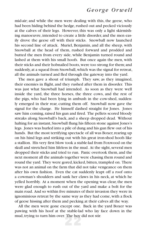mid-air; and while the men were dealing with this, the geese, who had been hiding behind the hedge, rushed out and pecked viciously at the calves of their legs. However, this was only a light skirmishing manoeuvre, intended to create a little disorder, and the men easily drove the geese off with their sticks. Snowball now launched his second line of attack. Muriel, Benjamin, and all the sheep, with Snowball at the head of them, rushed forward and prodded and butted the men from every side, while Benjamin turned round and lashed at them with his small hoofs. But once again the men, with their sticks and their hobnailed boots, were too strong for them; and suddenly, at a squeal from Snowball, which was the signal for retreat, all the animals turned and fled through the gateway into the yard.

The men gave a shout of triumph. They saw, as they imagined, their enemies in flight, and they rushed after them in disorder. This was just what Snowball had intended. As soon as they were well inside the yard, the three horses, the three cows, and the rest of the pigs, who had been lying in ambush in the cow-shed, suddenly emerged in their rear, cutting them off. Snowball now gave the signal for the charge. He himself dashed straight for Jones. Jones saw him coming, raised his gun and fired. The pellets scored bloody streaks along Snowball's back, and a sheep dropped dead. Without halting for an instant, Snowball flung his fifteen stone against Jones's legs. Jones was hurled into a pile of dung and his gun flew out of his hands. But the most terrifying spectacle of all was Boxer, rearing up on his hind legs and striking out with his great iron-shod hoofs like a stallion. His very first blow took a stable-lad from Foxwood on the skull and stretched him lifeless in the mud. At the sight, several men dropped their sticks and tried to run. Panic overtook them, and the next moment all the animals together were chasing them round and round the yard. They were gored, kicked, bitten, trampled on. There was not an animal on the farm that did not take vengeance on them after his own fashion. Even the cat suddenly leapt off a roof onto a cowman's shoulders and sank her claws in his neck, at which he yelled horribly. At a moment when the opening was clear, the men were glad enough to rush out of the yard and make a bolt for the main road. And so within five minutes of their invasion they were in ignominious retreat by the same way as they had come, with a flock of geese hissing after them and pecking at their calves all the way.

All the men were gone except one. Back in the yard Boxer was pawing with his hoof at the stable-lad who lay face down in the mud, trying to turn him over. The boy did not stir.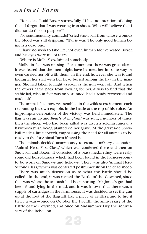"He is dead," said Boxer sorrowfully. "I had no intention of doing that. I forgot that I was wearing iron shoes. Who will believe that I did not do this on purpose?"

"No sentimentality, comrade!" cried Snowball, from whose wounds the blood was still dripping. "War is war. The only good human being is a dead one."

"I have no wish to take life, not even human life," repeated Boxer, and his eyes were full of tears.

"Where is Mollie?" exclaimed somebody.

Mollie in fact was missing. For a moment there was great alarm; it was feared that the men might have harmed her in some way, or even carried her off with them. In the end, however, she was found hiding in her stall with her head buried among the hay in the manger. She had taken to flight as soon as the gun went off. And when the others came back from looking for her, it was to find that the stable-lad, who in fact was only stunned, had already recovered and made off.

The animals had now reassembled in the wildest excitement, each recounting his own exploits in the battle at the top of his voice. An impromptu celebration of the victory was held immediately. The flag was run up and *Beasts of England* was sung a number of times, then the sheep who had been killed was given a solemn funeral, a hawthorn bush being planted on her grave. At the graveside Snowball made a little speech, emphasising the need for all animals to be ready to die for Animal Farm if need be.

The animals decided unanimously to create a military decoration, "Animal Hero, First Class," which was conferred there and then on Snowball and Boxer. It consisted of a brass medal (they were really some old horse-brasses which had been found in the harness-room), to be worn on Sundays and holidays. There was also "Animal Hero, Second Class," which was conferred posthumously on the dead sheep.

There was much discussion as to what the battle should be called. In the end, it was named the Battle of the Cowshed, since that was where the ambush had been sprung. Mr. Jones's gun had been found lying in the mud, and it was known that there was a supply of cartridges in the farmhouse. It was decided to set the gun up at the foot of the flagstaff, like a piece of artillery, and to fire it twice a year—once on October the twelfth, the anniversary of the Battle of the Cowshed, and once on Midsummer Day, the anniversary of the Rebellion.

2 3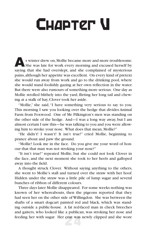# CHAPTER **V**

As winter drew on, Mollie became more and more troublesome. She was late for work every morning and excused herself by saying that she had overslept, and she complained of mysterious pains, although her appetite was excellent. On every kind of pretext she would run away from work and go to the drinking pool, where she would stand foolishly gazing at her own reflection in the water. But there were also rumours of something more serious. One day as Mollie strolled blithely into the yard, flirting her long tail and chewing at a stalk of hay, Clover took her aside.

"Mollie," she said, "I have something very serious to say to you. This morning I saw you looking over the hedge that divides Animal Farm from Foxwood. One of Mr. Pilkington's men was standing on the other side of the hedge. And—I was a long way away, but I am almost certain I saw this—he was talking to you and you were allowing him to stroke your nose. What does that mean, Mollie?"

"He didn't! I wasn't! It isn't true!" cried Mollie, beginning to prance about and paw the ground.

"Mollie! Look me in the face. Do you give me your word of honour that that man was not stroking your nose?"

"It isn't true!" repeated Mollie, but she could not look Clover in the face, and the next moment she took to her heels and galloped away into the field.

A thought struck Clover. Without saying anything to the others, she went to Mollie's stall and turned over the straw with her hoof. Hidden under the straw was a little pile of lump sugar and several bunches of ribbon of different colours.

feeding her with sugar. Her coat was newly clipped and she wore Three days later Mollie disappeared. For some weeks nothing was known of her whereabouts, then the pigeons reported that they had seen her on the other side of Willingdon. She was between the shafts of a smart dogcart painted red and black, which was standing outside a public-house. A fat red-faced man in check breeches and gaiters, who looked like a publican, was stroking her nose and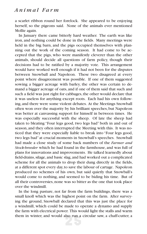a scarlet ribbon round her forelock. She appeared to be enjoying herself, so the pigeons said. None of the animals ever mentioned Mollie again.

In January there came bitterly hard weather. The earth was like iron, and nothing could be done in the fields. Many meetings were held in the big barn, and the pigs occupied themselves with planning out the work of the coming season. It had come to be accepted that the pigs, who were manifestly cleverer than the other animals, should decide all questions of farm policy, though their decisions had to be ratified by a majority vote. This arrangement would have worked well enough if it had not been for the disputes between Snowball and Napoleon. These two disagreed at every point where disagreement was possible. If one of them suggested sowing a bigger acreage with barley, the other was certain to demand a bigger acreage of oats, and if one of them said that such and such a field was just right for cabbages, the other would declare that it was useless for anything except roots. Each had his own following, and there were some violent debates. At the Meetings Snowball often won over the majority by his brilliant speeches, but Napoleon was better at canvassing support for himself in between times. He was especially successful with the sheep. Of late the sheep had taken to bleating "Four legs good, two legs bad" both in and out of season, and they often interrupted the Meeting with this. It was noticed that they were especially liable to break into "Four legs good, two legs bad" at crucial moments in Snowball's speeches. Snowball had made a close study of some back numbers of the *Farmer and Stock-breeder* which he had found in the farmhouse, and was full of plans for innovations and improvements. He talked learnedly about field-drains, silage, and basic slag, and had worked out a complicated scheme for all the animals to drop their dung directly in the fields, at a different spot every day, to save the labour of cartage. Napoleon produced no schemes of his own, but said quietly that Snowball's would come to nothing, and seemed to be biding his time. But of all their controversies, none was so bitter as the one that took place over the windmill.

them in winter, and would also run a circular saw, a chaff-cutter, a<br> In the long pasture, not far from the farm buildings, there was a small knoll which was the highest point on the farm. After surveying the ground, Snowball declared that this was just the place for a windmill, which could be made to operate a dynamo and supply the farm with electrical power. This would light the stalls and warm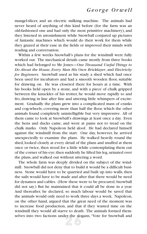mangel-slicer, and an electric milking machine. The animals had never heard of anything of this kind before (for the farm was an old-fashioned one and had only the most primitive machinery), and they listened in astonishment while Snowball conjured up pictures of fantastic machines which would do their work for them while they grazed at their ease in the fields or improved their minds with reading and conversation.

Within a few weeks Snowball's plans for the windmill were fully worked out. The mechanical details came mostly from three books which had belonged to Mr. Jones—*One Thousand Useful Things to Do About the House*, *Every Man His Own Bricklayer*, and *Electricity for Beginners*. Snowball used as his study a shed which had once been used for incubators and had a smooth wooden floor, suitable for drawing on. He was closeted there for hours at a time. With his books held open by a stone, and with a piece of chalk gripped between the knuckles of his trotter, he would move rapidly to and fro, drawing in line after line and uttering little whimpers of excitement. Gradually the plans grew into a complicated mass of cranks and cog-wheels, covering more than half the floor, which the other animals found completely unintelligible but very impressive. All of them came to look at Snowball's drawings at least once a day. Even the hens and ducks came, and were at pains not to tread on the chalk marks. Only Napoleon held aloof. He had declared himself against the windmill from the start. One day, however, he arrived unexpectedly to examine the plans. He walked heavily round the shed, looked closely at every detail of the plans and snuffed at them once or twice, then stood for a little while contemplating them out of the corner of his eye; then suddenly he lifted his leg, urinated over the plans, and walked out without uttering a word.

selves into two factions under the slogans, "Vote for Snowball and<br> The whole farm was deeply divided on the subject of the windmill. Snowball did not deny that to build it would be a difficult business. Stone would have to be quarried and built up into walls, then the sails would have to be made and after that there would be need for dynamos and cables. (How these were to be procured, Snowball did not say.) But he maintained that it could all be done in a year. And thereafter, he declared, so much labour would be saved that the animals would only need to work three days a week. Napoleon, on the other hand, argued that the great need of the moment was to increase food production, and that if they wasted time on the windmill they would all starve to death. The animals formed them-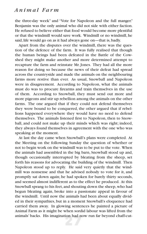the three-day week" and "Vote for Napoleon and the full manger." Benjamin was the only animal who did not side with either faction. He refused to believe either that food would become more plentiful or that the windmill would save work. Windmill or no windmill, he said, life would go on as it had always gone on—that is, badly.

Apart from the disputes over the windmill, there was the question of the defence of the farm. It was fully realised that though the human beings had been defeated in the Battle of the Cowshed they might make another and more determined attempt to recapture the farm and reinstate Mr. Jones. They had all the more reason for doing so because the news of their defeat had spread across the countryside and made the animals on the neighbouring farms more restive than ever. As usual, Snowball and Napoleon were in disagreement. According to Napoleon, what the animals must do was to procure firearms and train themselves in the use of them. According to Snowball, they must send out more and more pigeons and stir up rebellion among the animals on the other farms. The one argued that if they could not defend themselves they were bound to be conquered, the other argued that if rebellions happened everywhere they would have no need to defend themselves. The animals listened first to Napoleon, then to Snowball, and could not make up their minds which was right; indeed, they always found themselves in agreement with the one who was speaking at the moment.

2 7 animals' backs. His imagination had now run far beyond chaff-cut-At last the day came when Snowball's plans were completed. At the Meeting on the following Sunday the question of whether or not to begin work on the windmill was to be put to the vote. When the animals had assembled in the big barn, Snowball stood up and, though occasionally interrupted by bleating from the sheep, set forth his reasons for advocating the building of the windmill. Then Napoleon stood up to reply. He said very quietly that the windmill was nonsense and that he advised nobody to vote for it, and promptly sat down again; he had spoken for barely thirty seconds, and seemed almost indifferent as to the effect he produced. At this Snowball sprang to his feet, and shouting down the sheep, who had begun bleating again, broke into a passionate appeal in favour of the windmill. Until now the animals had been about equally divided in their sympathies, but in a moment Snowball's eloquence had carried them away. In glowing sentences he painted a picture of Animal Farm as it might be when sordid labour was lifted from the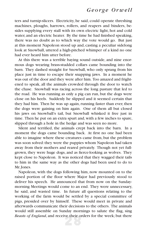ters and turnip-slicers. Electricity, he said, could operate threshing machines, ploughs, harrows, rollers, and reapers and binders, besides supplying every stall with its own electric light, hot and cold water, and an electric heater. By the time he had finished speaking, there was no doubt as to which way the vote would go. But just at this moment Napoleon stood up and, casting a peculiar sidelong look at Snowball, uttered a high-pitched whimper of a kind no one had ever heard him utter before.

At this there was a terrible baying sound outside, and nine enormous dogs wearing brass-studded collars came bounding into the barn. They dashed straight for Snowball, who only sprang from his place just in time to escape their snapping jaws. In a moment he was out of the door and they were after him. Too amazed and frightened to speak, all the animals crowded through the door to watch the chase. Snowball was racing across the long pasture that led to the road. He was running as only a pig can run, but the dogs were close on his heels. Suddenly he slipped and it seemed certain that they had him. Then he was up again, running faster than ever, then the dogs were gaining on him again. One of them all but closed his jaws on Snowball's tail, but Snowball whisked it free just in time. Then he put on an extra spurt and, with a few inches to spare, slipped through a hole in the hedge and was seen no more.

Silent and terrified, the animals crept back into the barn. In a moment the dogs came bounding back. At first no one had been able to imagine where these creatures came from, but the problem was soon solved: they were the puppies whom Napoleon had taken away from their mothers and reared privately. Though not yet fullgrown, they were huge dogs, and as fierce-looking as wolves. They kept close to Napoleon. It was noticed that they wagged their tails to him in the same way as the other dogs had been used to do to Mr. Jones.

*Beasts of England*, and receive their orders for the week; but there Napoleon, with the dogs following him, now mounted on to the raised portion of the floor where Major had previously stood to deliver his speech. He announced that from now on the Sundaymorning Meetings would come to an end. They were unnecessary, he said, and wasted time. In future all questions relating to the working of the farm would be settled by a special committee of pigs, presided over by himself. These would meet in private and afterwards communicate their decisions to the others. The animals would still assemble on Sunday mornings to salute the flag, sing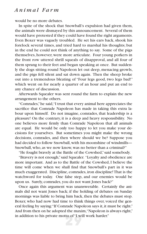would be no more debates.

In spite of the shock that Snowball's expulsion had given them, the animals were dismayed by this announcement. Several of them would have protested if they could have found the right arguments. Even Boxer was vaguely troubled. He set his ears back, shook his forelock several times, and tried hard to marshal his thoughts; but in the end he could not think of anything to say. Some of the pigs themselves, however, were more articulate. Four young porkers in the front row uttered shrill squeals of disapproval, and all four of them sprang to their feet and began speaking at once. But suddenly the dogs sitting round Napoleon let out deep, menacing growls, and the pigs fell silent and sat down again. Then the sheep broke out into a tremendous bleating of "Four legs good, two legs bad!" which went on for nearly a quarter of an hour and put an end to any chance of discussion.

Afterwards Squealer was sent round the farm to explain the new arrangement to the others.

"Comrades," he said, "I trust that every animal here appreciates the sacrifice that Comrade Napoleon has made in taking this extra labour upon himself. Do not imagine, comrades, that leadership is a pleasure! On the contrary, it is a deep and heavy responsibility. No one believes more firmly than Comrade Napoleon that all animals are equal. He would be only too happy to let you make your decisions for yourselves. But sometimes you might make the wrong decisions, comrades, and then where should we be? Suppose you had decided to follow Snowball, with his moonshine of windmills— Snowball, who, as we now know, was no better than a criminal?"

"He fought bravely at the Battle of the Cowshed," said somebody.

"Bravery is not enough," said Squealer. "Loyalty and obedience are more important. And as to the Battle of the Cowshed, I believe the time will come when we shall find that Snowball's part in it was much exaggerated. Discipline, comrades, iron discipline! That is the watchword for today. One false step, and our enemies would be upon us. Surely, comrades, you do not want Jones back?"

2 9 in addition to his private motto of "I will work harder."Once again this argument was unanswerable. Certainly the animals did not want Jones back; if the holding of debates on Sunday mornings was liable to bring him back, then the debates must stop. Boxer, who had now had time to think things over, voiced the general feeling by saying: "If Comrade Napoleon says it, it must be right." And from then on he adopted the maxim, "Napoleon is always right,"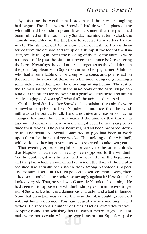By this time the weather had broken and the spring ploughing had begun. The shed where Snowball had drawn his plans of the windmill had been shut up and it was assumed that the plans had been rubbed off the floor. Every Sunday morning at ten o'clock the animals assembled in the big barn to receive their orders for the week. The skull of old Major, now clean of flesh, had been disinterred from the orchard and set up on a stump at the foot of the flagstaff, beside the gun. After the hoisting of the flag, the animals were required to file past the skull in a reverent manner before entering the barn. Nowadays they did not sit all together as they had done in the past. Napoleon, with Squealer and another pig named Minimus, who had a remarkable gift for composing songs and poems, sat on the front of the raised platform, with the nine young dogs forming a semicircle round them, and the other pigs sitting behind. The rest of the animals sat facing them in the main body of the barn. Napoleon read out the orders for the week in a gruff soldierly style, and after a single singing of *Beasts of England*, all the animals dispersed.

On the third Sunday after Snowball's expulsion, the animals were somewhat surprised to hear Napoleon announce that the windmill was to be built after all. He did not give any reason for having changed his mind, but merely warned the animals that this extra task would mean very hard work; it might even be necessary to reduce their rations. The plans, however, had all been prepared, down to the last detail. A special committee of pigs had been at work upon them for the past three weeks. The building of the windmill, with various other improvements, was expected to take two years.

mals were not certain what the word meant, but Squealer spoke That evening Squealer explained privately to the other animals that Napoleon had never in reality been opposed to the windmill. On the contrary, it was he who had advocated it in the beginning, and the plan which Snowball had drawn on the floor of the incubator shed had actually been stolen from among Napoleon's papers. The windmill was, in fact, Napoleon's own creation. Why, then, asked somebody, had he spoken so strongly against it? Here Squealer looked very sly. That, he said, was Comrade Napoleon's cunning. He had seemed to oppose the windmill, simply as a manoeuvre to get rid of Snowball, who was a dangerous character and a bad influence. Now that Snowball was out of the way, the plan could go forward without his interference. This, said Squealer, was something called tactics. He repeated a number of times, "Tactics, comrades, tactics!" skipping round and whisking his tail with a merry laugh. The ani-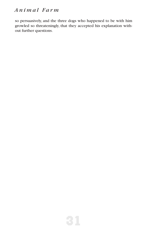so persuasively, and the three dogs who happened to be with him growled so threateningly, that they accepted his explanation without further questions.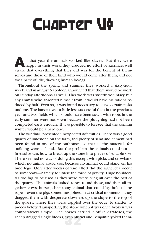# Chapter V<sub>9</sub>

All that year the animals worked like slaves. But they were happy in their work; they grudged no effort or sacrifice, well aware that everything that they did was for the benefit of themselves and those of their kind who would come after them, and not for a pack of idle, thieving human beings.

Throughout the spring and summer they worked a sixty-hour week, and in August Napoleon announced that there would be work on Sunday afternoons as well. This work was strictly voluntary, but any animal who absented himself from it would have his rations reduced by half. Even so, it was found necessary to leave certain tasks undone. The harvest was a little less successful than in the previous year, and two fields which should have been sown with roots in the early summer were not sown because the ploughing had not been completed early enough. It was possible to foresee that the coming winter would be a hard one.

3 2 sheep dragged single blocks, even Muriel and Benjamin yoked them-The windmill presented unexpected difficulties. There was a good quarry of limestone on the farm, and plenty of sand and cement had been found in one of the outhouses, so that all the materials for building were at hand. But the problem the animals could not at first solve was how to break up the stone into pieces of suitable size. There seemed no way of doing this except with picks and crowbars, which no animal could use, because no animal could stand on his hind legs. Only after weeks of vain effort did the right idea occur to somebody—namely, to utilise the force of gravity. Huge boulders, far too big to be used as they were, were lying all over the bed of the quarry. The animals lashed ropes round these, and then all together, cows, horses, sheep, any animal that could lay hold of the rope—even the pigs sometimes joined in at critical moments—they dragged them with desperate slowness up the slope to the top of the quarry, where they were toppled over the edge, to shatter to pieces below. Transporting the stone when it was once broken was comparatively simple. The horses carried it off in cart-loads, the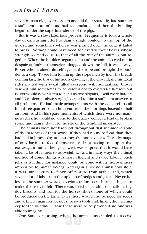selves into an old governess-cart and did their share. By late summer a sufficient store of stone had accumulated, and then the building began, under the superintendence of the pigs.

But it was a slow, laborious process. Frequently it took a whole day of exhausting effort to drag a single boulder to the top of the quarry, and sometimes when it was pushed over the edge it failed to break. Nothing could have been achieved without Boxer, whose strength seemed equal to that of all the rest of the animals put together. When the boulder began to slip and the animals cried out in despair at finding themselves dragged down the hill, it was always Boxer who strained himself against the rope and brought the boulder to a stop. To see him toiling up the slope inch by inch, his breath coming fast, the tips of his hoofs clawing at the ground, and his great sides matted with sweat, filled everyone with admiration. Clover warned him sometimes to be careful not to overstrain himself, but Boxer would never listen to her. His two slogans, "I will work harder" and "Napoleon is always right," seemed to him a sufficient answer to all problems. He had made arrangements with the cockerel to call him three-quarters of an hour earlier in the mornings instead of half an hour. And in his spare moments, of which there were not many nowadays, he would go alone to the quarry, collect a load of broken stone, and drag it down to the site of the windmill unassisted.

The animals were not badly off throughout that summer, in spite of the hardness of their work. If they had no more food than they had had in Jones's day, at least they did not have less. The advantage of only having to feed themselves, and not having to support five extravagant human beings as well, was so great that it would have taken a lot of failures to outweigh it. And in many ways the animal method of doing things was more efficient and saved labour. Such jobs as weeding, for instance, could be done with a thoroughness impossible to human beings. And again, since no animal now stole, it was unnecessary to fence off pasture from arable land, which saved a lot of labour on the upkeep of hedges and gates. Nevertheless, as the summer wore on, various unforeseen shortages began to make themselves felt. There was need of paraffin oil, nails, string, dog biscuits, and iron for the horses' shoes, none of which could be produced on the farm. Later there would also be need for seeds and artificial manures, besides various tools and, finally, the machinery for the windmill. How these were to be procured, no one was able to imagine.

One Sunday morning, when the animals assembled to receive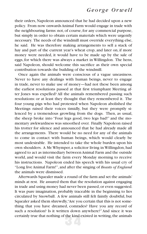their orders, Napoleon announced that he had decided upon a new policy. From now onwards Animal Farm would engage in trade with the neighbouring farms: not, of course, for any commercial purpose, but simply in order to obtain certain materials which were urgently necessary. The needs of the windmill must override everything else, he said. He was therefore making arrangements to sell a stack of hay and part of the current year's wheat crop, and later on, if more money were needed, it would have to be made up by the sale of eggs, for which there was always a market in Willingdon. The hens, said Napoleon, should welcome this sacrifice as their own special contribution towards the building of the windmill.

Once again the animals were conscious of a vague uneasiness. Never to have any dealings with human beings, never to engage in trade, never to make use of money—had not these been among the earliest resolutions passed at that first triumphant Meeting after Jones was expelled? All the animals remembered passing such resolutions: or at least they thought that they remembered it. The four young pigs who had protested when Napoleon abolished the Meetings raised their voices timidly, but they were promptly silenced by a tremendous growling from the dogs. Then, as usual, the sheep broke into "Four legs good, two legs bad!" and the momentary awkwardness was smoothed over. Finally Napoleon raised his trotter for silence and announced that he had already made all the arrangements. There would be no need for any of the animals to come in contact with human beings, which would clearly be most undesirable. He intended to take the whole burden upon his own shoulders. A Mr. Whymper, a solicitor living in Willingdon, had agreed to act as intermediary between Animal Farm and the outside world, and would visit the farm every Monday morning to receive his instructions. Napoleon ended his speech with his usual cry of "Long live Animal Farm!", and after the singing of *Beasts of England* the animals were dismissed.

certainly true that nothing of the kind existed in writing, the animals<br> Afterwards Squealer made a round of the farm and set the animals' minds at rest. He assured them that the resolution against engaging in trade and using money had never been passed, or even suggested. It was pure imagination, probably traceable in the beginning to lies circulated by Snowball. A few animals still felt faintly doubtful, but Squealer asked them shrewdly, "Are you certain that this is not something that you have dreamed, comrades? Have you any record of such a resolution? Is it written down anywhere?" And since it was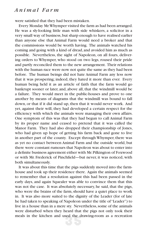were satisfied that they had been mistaken.

Every Monday Mr. Whymper visited the farm as had been arranged. He was a sly-looking little man with side whiskers, a solicitor in a very small way of business, but sharp enough to have realised earlier than anyone else that Animal Farm would need a broker and that the commissions would be worth having. The animals watched his coming and going with a kind of dread, and avoided him as much as possible. Nevertheless, the sight of Napoleon, on all fours, delivering orders to Whymper, who stood on two legs, roused their pride and partly reconciled them to the new arrangement. Their relations with the human race were now not quite the same as they had been before. The human beings did not hate Animal Farm any less now that it was prospering; indeed, they hated it more than ever. Every human being held it as an article of faith that the farm would go bankrupt sooner or later, and, above all, that the windmill would be a failure. They would meet in the public-houses and prove to one another by means of diagrams that the windmill was bound to fall down, or that if it did stand up, then that it would never work. And yet, against their will, they had developed a certain respect for the efficiency with which the animals were managing their own affairs. One symptom of this was that they had begun to call Animal Farm by its proper name and ceased to pretend that it was called the Manor Farm. They had also dropped their championship of Jones, who had given up hope of getting his farm back and gone to live in another part of the county. Except through Whymper, there was as yet no contact between Animal Farm and the outside world, but there were constant rumours that Napoleon was about to enter into a definite business agreement either with Mr. Pilkington of Foxwood or with Mr. Frederick of Pinchfield—but never, it was noticed, with both simultaneously.

meals in the kitchen and used the drawing-room as a recreation It was about this time that the pigs suddenly moved into the farmhouse and took up their residence there. Again the animals seemed to remember that a resolution against this had been passed in the early days, and again Squealer was able to convince them that this was not the case. It was absolutely necessary, he said, that the pigs, who were the brains of the farm, should have a quiet place to work in. It was also more suited to the dignity of the Leader (for of late he had taken to speaking of Napoleon under the title of "Leader") to live in a house than in a mere sty. Nevertheless, some of the animals were disturbed when they heard that the pigs not only took their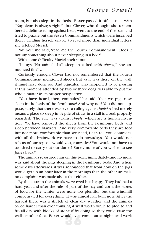room, but also slept in the beds. Boxer passed it off as usual with "Napoleon is always right!", but Clover, who thought she remembered a definite ruling against beds, went to the end of the barn and tried to puzzle out the Seven Commandments which were inscribed there. Finding herself unable to read more than individual letters, she fetched Muriel.

"Muriel," she said, "read me the Fourth Commandment. Does it not say something about never sleeping in a bed?"

With some difficulty Muriel spelt it out.

"It says, 'No animal shall sleep in a bed *with sheets*,'" she announced finally.

Curiously enough, Clover had not remembered that the Fourth Commandment mentioned sheets; but as it was there on the wall, it must have done so. And Squealer, who happened to be passing at this moment, attended by two or three dogs, was able to put the whole matter in its proper perspective.

"You have heard, then, comrades," he said, "that we pigs now sleep in the beds of the farmhouse? And why not? You did not suppose, surely, that there was ever a ruling against *beds*? A bed merely means a place to sleep in. A pile of straw in a stall is a bed, properly regarded. The rule was against *sheets*, which are a human invention. We have removed the sheets from the farmhouse beds, and sleep between blankets. And very comfortable beds they are too! But not more comfortable than we need, I can tell you, comrades, with all the brainwork we have to do nowadays. You would not rob us of our repose, would you, comrades? You would not have us too tired to carry out our duties? Surely none of you wishes to see Jones back?"

The animals reassured him on this point immediately, and no more was said about the pigs sleeping in the farmhouse beds. And when, some days afterwards, it was announced that from now on the pigs would get up an hour later in the mornings than the other animals, no complaint was made about that either.

walls another foot. Boxer would even come out at nights and work By the autumn the animals were tired but happy. They had had a hard year, and after the sale of part of the hay and corn, the stores of food for the winter were none too plentiful, but the windmill compensated for everything. It was almost half built now. After the harvest there was a stretch of clear dry weather, and the animals toiled harder than ever, thinking it well worth while to plod to and fro all day with blocks of stone if by doing so they could raise the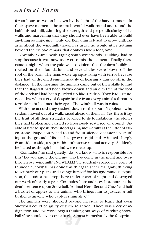for an hour or two on his own by the light of the harvest moon. In their spare moments the animals would walk round and round the half-finished mill, admiring the strength and perpendicularity of its walls and marvelling that they should ever have been able to build anything so imposing. Only old Benjamin refused to grow enthusiastic about the windmill, though, as usual, he would utter nothing beyond the cryptic remark that donkeys live a long time.

November came, with raging south-west winds. Building had to stop because it was now too wet to mix the cement. Finally there came a night when the gale was so violent that the farm buildings rocked on their foundations and several tiles were blown off the roof of the barn. The hens woke up squawking with terror because they had all dreamed simultaneously of hearing a gun go off in the distance. In the morning the animals came out of their stalls to find that the flagstaff had been blown down and an elm tree at the foot of the orchard had been plucked up like a radish. They had just noticed this when a cry of despair broke from every animal's throat. A terrible sight had met their eyes. The windmill was in ruins.

With one accord they dashed down to the spot. Napoleon, who seldom moved out of a walk, raced ahead of them all. Yes, there it lay, the fruit of all their struggles, levelled to its foundations, the stones they had broken and carried so laboriously scattered all around. Unable at first to speak, they stood gazing mournfully at the litter of fallen stone. Napoleon paced to and fro in silence, occasionally snuffing at the ground. His tail had grown rigid and twitched sharply from side to side, a sign in him of intense mental activity. Suddenly he halted as though his mind were made up.

"Comrades," he said quietly, "do you know who is responsible for this? Do you know the enemy who has come in the night and overthrown our windmill? SNOWBALL!" he suddenly roared in a voice of thunder. "Snowball has done this thing! In sheer malignity, thinking to set back our plans and avenge himself for his ignominious expulsion, this traitor has crept here under cover of night and destroyed our work of nearly a year. Comrades, here and now I pronounce the death sentence upon Snowball. 'Animal Hero, Second Class,' and half a bushel of apples to any animal who brings him to justice. A full bushel to anyone who captures him alive!"

ball if he should ever come back. Almost immediately the footprints<br> The animals were shocked beyond measure to learn that even Snowball could be guilty of such an action. There was a cry of indignation, and everyone began thinking out ways of catching Snow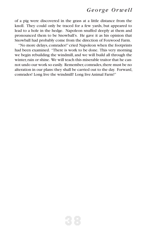of a pig were discovered in the grass at a little distance from the knoll. They could only be traced for a few yards, but appeared to lead to a hole in the hedge. Napoleon snuffed deeply at them and pronounced them to be Snowball's. He gave it as his opinion that Snowball had probably come from the direction of Foxwood Farm.

"No more delays, comrades!" cried Napoleon when the footprints had been examined. "There is work to be done. This very morning we begin rebuilding the windmill, and we will build all through the winter, rain or shine. We will teach this miserable traitor that he cannot undo our work so easily. Remember, comrades, there must be no alteration in our plans: they shall be carried out to the day. Forward, comrades! Long live the windmill! Long live Animal Farm!"

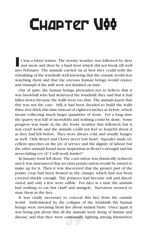# CHAPTER **VOO**

It was a bitter winter. The stormy weather was followed by sleet and snow, and then by a hard frost which did not break till well into February. The animals carried on as best they could with the rebuilding of the windmill, well knowing that the outside world was watching them and that the envious human beings would rejoice and triumph if the mill were not finished on time.

Out of spite, the human beings pretended not to believe that it was Snowball who had destroyed the windmill: they said that it had fallen down because the walls were too thin. The animals knew that this was not the case. Still, it had been decided to build the walls three feet thick this time instead of eighteen inches as before, which meant collecting much larger quantities of stone. For a long time the quarry was full of snowdrifts and nothing could be done. Some progress was made in the dry frosty weather that followed, but it was cruel work, and the animals could not feel so hopeful about it as they had felt before. They were always cold, and usually hungry as well. Only Boxer and Clover never lost heart. Squealer made excellent speeches on the joy of service and the dignity of labour, but the other animals found more inspiration in Boxer's strength and his never-failing cry of "I will work harder!"

In January food fell short. The corn ration was drastically reduced, and it was announced that an extra potato ration would be issued to make up for it. Then it was discovered that the greater part of the potato crop had been frosted in the clamps, which had not been covered thickly enough. The potatoes had become soft and discoloured, and only a few were edible. For days at a time the animals had nothing to eat but chaff and mangels. Starvation seemed to stare them in the face.

disease, and that they were continually fighting among themselves It was vitally necessary to conceal this fact from the outside world. Emboldened by the collapse of the windmill, the human beings were inventing fresh lies about Animal Farm. Once again it was being put about that all the animals were dying of famine and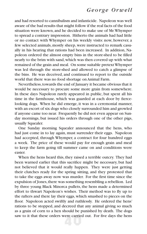and had resorted to cannibalism and infanticide. Napoleon was well aware of the bad results that might follow if the real facts of the food situation were known, and he decided to make use of Mr. Whymper to spread a contrary impression. Hitherto the animals had had little or no contact with Whymper on his weekly visits: now, however, a few selected animals, mostly sheep, were instructed to remark casually in his hearing that rations had been increased. In addition, Napoleon ordered the almost empty bins in the store-shed to be filled nearly to the brim with sand, which was then covered up with what remained of the grain and meal. On some suitable pretext Whymper was led through the store-shed and allowed to catch a glimpse of the bins. He was deceived, and continued to report to the outside world that there was no food shortage on Animal Farm.

Nevertheless, towards the end of January it became obvious that it would be necessary to procure some more grain from somewhere. In these days Napoleon rarely appeared in public, but spent all his time in the farmhouse, which was guarded at each door by fiercelooking dogs. When he did emerge, it was in a ceremonial manner, with an escort of six dogs who closely surrounded him and growled if anyone came too near. Frequently he did not even appear on Sunday mornings, but issued his orders through one of the other pigs, usually Squealer.

One Sunday morning Squealer announced that the hens, who had just come in to lay again, must surrender their eggs. Napoleon had accepted, through Whymper, a contract for four hundred eggs a week. The price of these would pay for enough grain and meal to keep the farm going till summer came on and conditions were easier.

saw to it that these orders were carried out. For five days the hens<br> When the hens heard this, they raised a terrible outcry. They had been warned earlier that this sacrifice might be necessary, but had not believed that it would really happen. They were just getting their clutches ready for the spring sitting, and they protested that to take the eggs away now was murder. For the first time since the expulsion of Jones, there was something resembling a rebellion. Led by three young Black Minorca pullets, the hens made a determined effort to thwart Napoleon's wishes. Their method was to fly up to the rafters and there lay their eggs, which smashed to pieces on the floor. Napoleon acted swiftly and ruthlessly. He ordered the hens' rations to be stopped, and decreed that any animal giving so much as a grain of corn to a hen should be punished by death. The dogs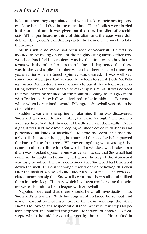held out, then they capitulated and went back to their nesting boxes. Nine hens had died in the meantime. Their bodies were buried in the orchard, and it was given out that they had died of coccidiosis. Whymper heard nothing of this affair, and the eggs were duly delivered, a grocer's van driving up to the farm once a week to take them away.

All this while no more had been seen of Snowball. He was rumoured to be hiding on one of the neighbouring farms, either Foxwood or Pinchfield. Napoleon was by this time on slightly better terms with the other farmers than before. It happened that there was in the yard a pile of timber which had been stacked there ten years earlier when a beech spinney was cleared. It was well seasoned, and Whymper had advised Napoleon to sell it; both Mr. Pilkington and Mr. Frederick were anxious to buy it. Napoleon was hesitating between the two, unable to make up his mind. It was noticed that whenever he seemed on the point of coming to an agreement with Frederick, Snowball was declared to be in hiding at Foxwood, while, when he inclined towards Pilkington, Snowball was said to be at Pinchfield.

Suddenly, early in the spring, an alarming thing was discovered. Snowball was secretly frequenting the farm by night! The animals were so disturbed that they could hardly sleep in their stalls. Every night, it was said, he came creeping in under cover of darkness and performed all kinds of mischief. He stole the corn, he upset the milk-pails, he broke the eggs, he trampled the seed-beds, he gnawed the bark off the fruit trees. Whenever anything went wrong it became usual to attribute it to Snowball. If a window was broken or a drain was blocked up, someone was certain to say that Snowball had come in the night and done it, and when the key of the store-shed was lost, the whole farm was convinced that Snowball had thrown it down the well. Curiously enough, they went on believing this even after the mislaid key was found under a sack of meal. The cows declared unanimously that Snowball crept into their stalls and milked them in their sleep. The rats, which had been troublesome that winter, were also said to be in league with Snowball.

steps, which, he said, he could detect by the smell. He snuffed in Napoleon decreed that there should be a full investigation into Snowball's activities. With his dogs in attendance he set out and made a careful tour of inspection of the farm buildings, the other animals following at a respectful distance. At every few steps Napoleon stopped and snuffed the ground for traces of Snowball's foot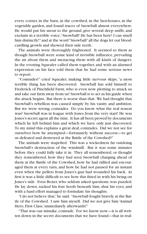every corner, in the barn, in the cowshed, in the hen-houses, in the vegetable garden, and found traces of Snowball almost everywhere. He would put his snout to the ground, give several deep sniffs, and exclaim in a terrible voice, "Snowball! He has been here! I can smell him distinctly!" and at the word "Snowball" all the dogs let out bloodcurdling growls and showed their side teeth.

The animals were thoroughly frightened. It seemed to them as though Snowball were some kind of invisible influence, pervading the air about them and menacing them with all kinds of dangers. In the evening Squealer called them together, and with an alarmed expression on his face told them that he had some serious news to report.

"Comrades!" cried Squealer, making little nervous skips, "a most terrible thing has been discovered. Snowball has sold himself to Frederick of Pinchfield Farm, who is even now plotting to attack us and take our farm away from us! Snowball is to act as his guide when the attack begins. But there is worse than that. We had thought that Snowball's rebellion was caused simply by his vanity and ambition. But we were wrong, comrades. Do you know what the real reason was? Snowball was in league with Jones from the very start! He was Jones's secret agent all the time. It has all been proved by documents which he left behind him and which we have only just discovered. To my mind this explains a great deal, comrades. Did we not see for ourselves how he attempted—fortunately without success—to get us defeated and destroyed at the Battle of the Cowshed?"

The animals were stupefied. This was a wickedness far outdoing Snowball's destruction of the windmill. But it was some minutes before they could fully take it in. They all remembered, or thought they remembered, how they had seen Snowball charging ahead of them at the Battle of the Cowshed, how he had rallied and encouraged them at every turn, and how he had not paused for an instant even when the pellets from Jones's gun had wounded his back. At first it was a little difficult to see how this fitted in with his being on Jones's side. Even Boxer, who seldom asked questions, was puzzled. He lay down, tucked his fore hoofs beneath him, shut his eyes, and with a hard effort managed to formulate his thoughts.

"I do not believe that," he said. "Snowball fought bravely at the Battle of the Cowshed. I saw him myself. Did we not give him 'Animal Hero, First Class,' immediately afterwards?"

"That was our mistake, comrade. For we know now—it is all written down in the secret documents that we have found—that in real-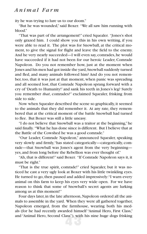ity he was trying to lure us to our doom."

"But he was wounded," said Boxer. "We all saw him running with blood."

"That was part of the arrangement!" cried Squealer. "Jones's shot only grazed him. I could show you this in his own writing, if you were able to read it. The plot was for Snowball, at the critical moment, to give the signal for flight and leave the field to the enemy. And he very nearly succeeded—I will even say, comrades, he would have succeeded if it had not been for our heroic Leader, Comrade Napoleon. Do you not remember how, just at the moment when Jones and his men had got inside the yard, Snowball suddenly turned and fled, and many animals followed him? And do you not remember, too, that it was just at that moment, when panic was spreading and all seemed lost, that Comrade Napoleon sprang forward with a cry of 'Death to Humanity!' and sank his teeth in Jones's leg? Surely you remember *that*, comrades?" exclaimed Squealer, frisking from side to side.

Now when Squealer described the scene so graphically, it seemed to the animals that they did remember it. At any rate, they remembered that at the critical moment of the battle Snowball had turned to flee. But Boxer was still a little uneasy.

"I do not believe that Snowball was a traitor at the beginning," he said finally. "What he has done since is different. But I believe that at the Battle of the Cowshed he was a good comrade."

"Our Leader, Comrade Napoleon," announced Squealer, speaking very slowly and firmly, "has stated categorically—categorically, comrade—that Snowball was Jones's agent from the very beginning yes, and from long before the Rebellion was ever thought of."

"Ah, that is different!" said Boxer. "If Comrade Napoleon says it, it must be right."

"That is the true spirit, comrade!" cried Squealer, but it was noticed he cast a very ugly look at Boxer with his little twinkling eyes. He turned to go, then paused and added impressively: "I warn every animal on this farm to keep his eyes very wide open. For we have reason to think that some of Snowball's secret agents are lurking among us at this moment!"

and "Animal Hero, Second Class"), with his nine huge dogs frisking<br> Four days later, in the late afternoon, Napoleon ordered all the animals to assemble in the yard. When they were all gathered together, Napoleon emerged, from the farmhouse, wearing both his medals (for he had recently awarded himself "Animal Hero, First Class,"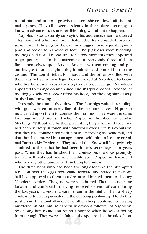round him and uttering growls that sent shivers down all the animals' spines. They all cowered silently in their places, seeming to know in advance that some terrible thing was about to happen.

Napoleon stood sternly surveying his audience; then he uttered a high-pitched whimper. Immediately the dogs bounded forward, seized four of the pigs by the ear and dragged them, squealing with pain and terror, to Napoleon's feet. The pigs' ears were bleeding, the dogs had tasted blood, and for a few moments they appeared to go quite mad. To the amazement of everybody, three of them flung themselves upon Boxer. Boxer saw them coming and put out his great hoof, caught a dog in mid-air, and pinned him to the ground. The dog shrieked for mercy and the other two fled with their tails between their legs. Boxer looked at Napoleon to know whether he should crush the dog to death or let it go. Napoleon appeared to change countenance, and sharply ordered Boxer to let the dog go, whereat Boxer lifted his hoof, and the dog slunk away, bruised and howling.

Presently the tumult died down. The four pigs waited, trembling, with guilt written on every line of their countenances. Napoleon now called upon them to confess their crimes. They were the same four pigs as had protested when Napoleon abolished the Sunday Meetings. Without any further prompting they confessed that they had been secretly in touch with Snowball ever since his expulsion, that they had collaborated with him in destroying the windmill, and that they had entered into an agreement with him to hand over Animal Farm to Mr. Frederick. They added that Snowball had privately admitted to them that he had been Jones's secret agent for years past. When they had finished their confession, the dogs promptly tore their throats out, and in a terrible voice Napoleon demanded whether any other animal had anything to confess.

from a cough. They were all slain on the spot. And so the tale of con-The three hens who had been the ringleaders in the attempted rebellion over the eggs now came forward and stated that Snowball had appeared to them in a dream and incited them to disobey Napoleon's orders. They, too, were slaughtered. Then a goose came forward and confessed to having secreted six ears of corn during the last year's harvest and eaten them in the night. Then a sheep confessed to having urinated in the drinking pool—urged to do this, so she said, by Snowball—and two other sheep confessed to having murdered an old ram, an especially devoted follower of Napoleon, by chasing him round and round a bonfire when he was suffering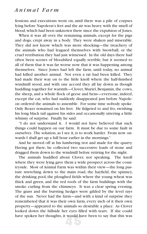fessions and executions went on, until there was a pile of corpses lying before Napoleon's feet and the air was heavy with the smell of blood, which had been unknown there since the expulsion of Jones.

When it was all over, the remaining animals, except for the pigs and dogs, crept away in a body. They were shaken and miserable. They did not know which was more shocking—the treachery of the animals who had leagued themselves with Snowball, or the cruel retribution they had just witnessed. In the old days there had often been scenes of bloodshed equally terrible, but it seemed to all of them that it was far worse now that it was happening among themselves. Since Jones had left the farm, until today, no animal had killed another animal. Not even a rat had been killed. They had made their way on to the little knoll where the half-finished windmill stood, and with one accord they all lay down as though huddling together for warmth—Clover, Muriel, Benjamin, the cows, the sheep, and a whole flock of geese and hens—everyone, indeed, except the cat, who had suddenly disappeared just before Napoleon ordered the animals to assemble. For some time nobody spoke. Only Boxer remained on his feet. He fidgeted to and fro, swishing his long black tail against his sides and occasionally uttering a little whinny of surprise. Finally he said:

"I do not understand it. I would not have believed that such things could happen on our farm. It must be due to some fault in ourselves. The solution, as I see it, is to work harder. From now onwards I shall get up a full hour earlier in the mornings."

And he moved off at his lumbering trot and made for the quarry. Having got there, he collected two successive loads of stone and dragged them down to the windmill before retiring for the night.

have spoken her thoughts, it would have been to say that this was<br> The animals huddled about Clover, not speaking. The knoll where they were lying gave them a wide prospect across the countryside. Most of Animal Farm was within their view—the long pasture stretching down to the main road, the hayfield, the spinney, the drinking pool, the ploughed fields where the young wheat was thick and green, and the red roofs of the farm buildings with the smoke curling from the chimneys. It was a clear spring evening. The grass and the bursting hedges were gilded by the level rays of the sun. Never had the farm—and with a kind of surprise they remembered that it was their own farm, every inch of it their own property—appeared to the animals so desirable a place. As Clover looked down the hillside her eyes filled with tears. If she could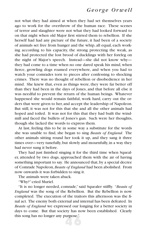not what they had aimed at when they had set themselves years ago to work for the overthrow of the human race. These scenes of terror and slaughter were not what they had looked forward to on that night when old Major first stirred them to rebellion. If she herself had had any picture of the future, it had been of a society of animals set free from hunger and the whip, all equal, each working according to his capacity, the strong protecting the weak, as she had protected the lost brood of ducklings with her foreleg on the night of Major's speech. Instead—she did not know why they had come to a time when no one dared speak his mind, when fierce, growling dogs roamed everywhere, and when you had to watch your comrades torn to pieces after confessing to shocking crimes. There was no thought of rebellion or disobedience in her mind. She knew that, even as things were, they were far better off than they had been in the days of Jones, and that before all else it was needful to prevent the return of the human beings. Whatever happened she would remain faithful, work hard, carry out the orders that were given to her, and accept the leadership of Napoleon. But still, it was not for this that she and all the other animals had hoped and toiled. It was not for this that they had built the windmill and faced the bullets of Jones's gun. Such were her thoughts, though she lacked the words to express them.

At last, feeling this to be in some way a substitute for the words she was unable to find, she began to sing *Beasts of England*. The other animals sitting round her took it up, and they sang it three times over—very tunefully, but slowly and mournfully, in a way they had never sung it before.

They had just finished singing it for the third time when Squealer, attended by two dogs, approached them with the air of having something important to say. He announced that, by a special decree of Comrade Napoleon, *Beasts of England* had been abolished. From now onwards it was forbidden to sing it.

The animals were taken aback.

"Why?" cried Muriel.

this song has no longer any purpose." "It is no longer needed, comrade," said Squealer stiffly. "*Beasts of England* was the song of the Rebellion. But the Rebellion is now completed. The execution of the traitors this afternoon was the final act. The enemy both external and internal has been defeated. In *Beasts of England* we expressed our longing for a better society in days to come. But that society has now been established. Clearly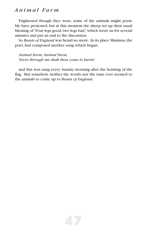Frightened though they were, some of the animals might possibly have protested, but at this moment the sheep set up their usual bleating of "Four legs good, two legs bad," which went on for several minutes and put an end to the discussion.

So *Beasts of England* was heard no more. In its place Minimus, the poet, had composed another song which began:

*Animal Farm, Animal Farm, Never through me shalt thou come to harm!*

and this was sung every Sunday morning after the hoisting of the flag. But somehow neither the words nor the tune ever seemed to the animals to come up to *Beasts of England*.

47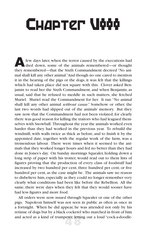# Chapter VI<sub>00</sub>

A few days later, when the terror caused by the executions had died down, some of the animals remembered—or thought they remembered—that the Sixth Commandment decreed "No animal shall kill any other animal." And though no one cared to mention it in the hearing of the pigs or the dogs, it was felt that the killings which had taken place did not square with this. Clover asked Benjamin to read her the Sixth Commandment, and when Benjamin, as usual, said that he refused to meddle in such matters, she fetched Muriel. Muriel read the Commandment for her. It ran: "No animal shall kill any other animal *without cause*." Somehow or other, the last two words had slipped out of the animals' memory. But they saw now that the Commandment had not been violated; for clearly there was good reason for killing the traitors who had leagued themselves with Snowball. Throughout the year the animals worked even harder than they had worked in the previous year. To rebuild the windmill, with walls twice as thick as before, and to finish it by the appointed date, together with the regular work of the farm, was a tremendous labour. There were times when it seemed to the animals that they worked longer hours and fed no better than they had done in Jones's day. On Sunday mornings Squealer, holding down a long strip of paper with his trotter, would read out to them lists of figures proving that the production of every class of foodstuff had increased by two hundred per cent, three hundred per cent, or five hundred per cent, as the case might be. The animals saw no reason to disbelieve him, especially as they could no longer remember very clearly what conditions had been like before the Rebellion. All the same, there were days when they felt that they would sooner have had less figures and more food.

and acted as a kind of trumpeter, letting out a loud "cock-a-doodle-All orders were now issued through Squealer or one of the other pigs. Napoleon himself was not seen in public as often as once in a fortnight. When he did appear, he was attended not only by his retinue of dogs but by a black cockerel who marched in front of him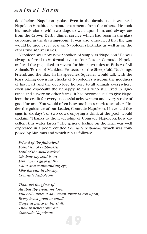doo" before Napoleon spoke. Even in the farmhouse, it was said, Napoleon inhabited separate apartments from the others. He took his meals alone, with two dogs to wait upon him, and always ate from the Crown Derby dinner service which had been in the glass cupboard in the drawing-room. It was also announced that the gun would be fired every year on Napoleon's birthday, as well as on the other two anniversaries.

Napoleon was now never spoken of simply as "Napoleon." He was always referred to in formal style as "our Leader, Comrade Napoleon," and the pigs liked to invent for him such titles as Father of All Animals, Terror of Mankind, Protector of the Sheep-fold, Ducklings' Friend, and the like. In his speeches, Squealer would talk with the tears rolling down his cheeks of Napoleon's wisdom, the goodness of his heart, and the deep love he bore to all animals everywhere, even and especially the unhappy animals who still lived in ignorance and slavery on other farms. It had become usual to give Napoleon the credit for every successful achievement and every stroke of good fortune. You would often hear one hen remark to another, "Under the guidance of our Leader, Comrade Napoleon, I have laid five eggs in six days"; or two cows, enjoying a drink at the pool, would exclaim, "Thanks to the leadership of Comrade Napoleon, how excellent this water tastes!" The general feeling on the farm was well expressed in a poem entitled *Comrade Napoleon*, which was composed by Minimus and which ran as follows:

*Friend of the fatherless! Fountain of happiness! Lord of the swill-bucket! Oh, how my soul is on Fire when I gaze at thy Calm and commanding eye, Like the sun in the sky, Comrade Napoleon!*

49 *Thou art the giver of All that thy creatures love, Full belly twice a day, clean straw to roll upon; Every beast great or small Sleeps at peace in his stall, Thou watchest over all, Comrade Napoleon!*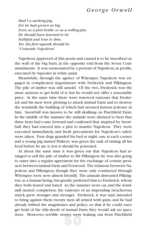### *George Orwell*

*Had I a sucking-pig, Ere he had grown as big Even as a pint bottle or as a rolling-pin, He should have learned to be Faithful and true to thee, Yes, his first squeak should be "Comrade Napoleon!*

Napoleon approved of this poem and caused it to be inscribed on the wall of the big barn, at the opposite end from the Seven Commandments. It was surmounted by a portrait of Napoleon, in profile, executed by Squealer in white paint.

Meanwhile, through the agency of Whymper, Napoleon was engaged in complicated negotiations with Frederick and Pilkington. The pile of timber was still unsold. Of the two, Frederick was the more anxious to get hold of it, but he would not offer a reasonable price. At the same time there were renewed rumours that Frederick and his men were plotting to attack Animal Farm and to destroy the windmill, the building of which had aroused furious jealousy in him. Snowball was known to be still skulking on Pinchfield Farm. In the middle of the summer the animals were alarmed to hear that three hens had come forward and confessed that, inspired by Snowball, they had entered into a plot to murder Napoleon. They were executed immediately, and fresh precautions for Napoleon's safety were taken. Four dogs guarded his bed at night, one at each corner, and a young pig named Pinkeye was given the task of tasting all his food before he ate it, lest it should be poisoned.

At about the same time it was given out that Napoleon had arranged to sell the pile of timber to Mr. Pilkington; he was also going to enter into a regular agreement for the exchange of certain products between Animal Farm and Foxwood. The relations between Napoleon and Pilkington, though they were only conducted through Whymper, were now almost friendly. The animals distrusted Pilkington, as a human being, but greatly preferred him to Frederick, whom they both feared and hated. As the summer wore on, and the windmill neared completion, the rumours of an impending treacherous attack grew stronger and stronger. Frederick, it was said, intended to bring against them twenty men all armed with guns, and he had already bribed the magistrates and police, so that if he could once get hold of the title-deeds of Animal Farm they would ask no questions. Moreover, terrible stories were leaking out from Pinchfield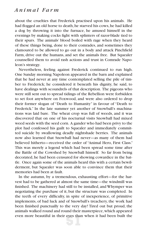about the cruelties that Frederick practised upon his animals. He had flogged an old horse to death, he starved his cows, he had killed a dog by throwing it into the furnace, he amused himself in the evenings by making cocks fight with splinters of razor-blade tied to their spurs. The animals' blood boiled with rage when they heard of these things being, done to their comrades, and sometimes they clamoured to be allowed to go out in a body and attack Pinchfield Farm, drive out the humans, and set the animals free. But Squealer counselled them to avoid rash actions and trust in Comrade Napoleon's strategy.

Nevertheless, feeling against Frederick continued to run high. One Sunday morning Napoleon appeared in the barn and explained that he had never at any time contemplated selling the pile of timber to Frederick; he considered it beneath his dignity, he said, to have dealings with scoundrels of that description. The pigeons who were still sent out to spread tidings of the Rebellion were forbidden to set foot anywhere on Foxwood, and were also ordered to drop their former slogan of "Death to Humanity" in favour of "Death to Frederick." In the late summer yet another of Snowball's machinations was laid bare. The wheat crop was full of weeds, and it was discovered that on one of his nocturnal visits Snowball had mixed weed seeds with the seed corn. A gander who had been privy to the plot had confessed his guilt to Squealer and immediately committed suicide by swallowing deadly nightshade berries. The animals now also learned that Snowball had never—as many of them had believed hitherto—received the order of "Animal Hero, First Class." This was merely a legend which had been spread some time after the Battle of the Cowshed by Snowball himself. So far from being decorated, he had been censured for showing cowardice in the battle. Once again some of the animals heard this with a certain bewilderment, but Squealer was soon able to convince them that their memories had been at fault.

even more beautiful in their eyes than when it had been built the<br> In the autumn, by a tremendous, exhausting effort—for the harvest had to be gathered at almost the same time—the windmill was finished. The machinery had still to be installed, and Whymper was negotiating the purchase of it, but the structure was completed. In the teeth of every difficulty, in spite of inexperience, of primitive implements, of bad luck and of Snowball's treachery, the work had been finished punctually to the very day! Tired out but proud, the animals walked round and round their masterpiece, which appeared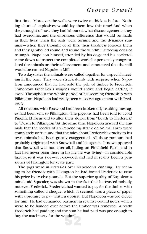first time. Moreover, the walls were twice as thick as before. Nothing short of explosives would lay them low this time! And when they thought of how they had laboured, what discouragements they had overcome, and the enormous difference that would be made in their lives when the sails were turning and the dynamos running—when they thought of all this, their tiredness forsook them and they gambolled round and round the windmill, uttering cries of triumph. Napoleon himself, attended by his dogs and his cockerel, came down to inspect the completed work; he personally congratulated the animals on their achievement, and announced that the mill would be named Napoleon Mill.

Two days later the animals were called together for a special meeting in the barn. They were struck dumb with surprise when Napoleon announced that he had sold the pile of timber to Frederick. Tomorrow Frederick's wagons would arrive and begin carting it away. Throughout the whole period of his seeming friendship with Pilkington, Napoleon had really been in secret agreement with Frederick.

All relations with Foxwood had been broken off; insulting messages had been sent to Pilkington. The pigeons had been told to avoid Pinchfield Farm and to alter their slogan from "Death to Frederick" to "Death to Pilkington." At the same time Napoleon assured the animals that the stories of an impending attack on Animal Farm were completely untrue, and that the tales about Frederick's cruelty to his own animals had been greatly exaggerated. All these rumours had probably originated with Snowball and his agents. It now appeared that Snowball was not, after all, hiding on Pinchfield Farm, and in fact had never been there in his life: he was living—in considerable luxury, so it was said—at Foxwood, and had in reality been a pensioner of Pilkington for years past.

buy the machinery for the windmill. The pigs were in ecstasies over Napoleon's cunning. By seeming to be friendly with Pilkington he had forced Frederick to raise his price by twelve pounds. But the superior quality of Napoleon's mind, said Squealer, was shown in the fact that he trusted nobody, not even Frederick. Frederick had wanted to pay for the timber with something called a cheque, which, it seemed, was a piece of paper with a promise to pay written upon it. But Napoleon was too clever for him. He had demanded payment in real five-pound notes, which were to be handed over before the timber was removed. Already Frederick had paid up; and the sum he had paid was just enough to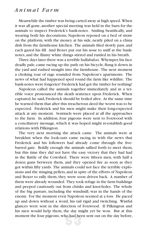Meanwhile the timber was being carted away at high speed. When it was all gone, another special meeting was held in the barn for the animals to inspect Frederick's bank-notes. Smiling beatifically, and wearing both his decorations, Napoleon reposed on a bed of straw on the platform, with the money at his side, neatly piled on a china dish from the farmhouse kitchen. The animals filed slowly past, and each gazed his fill. And Boxer put out his nose to sniff at the banknotes, and the flimsy white things stirred and rustled in his breath.

Three days later there was a terrible hullabaloo. Whymper, his face deadly pale, came racing up the path on his bicycle, flung it down in the yard and rushed straight into the farmhouse. The next moment a choking roar of rage sounded from Napoleon's apartments. The news of what had happened sped round the farm like wildfire. The bank-notes were forgeries! Frederick had got the timber for nothing!

Napoleon called the animals together immediately and in a terrible voice pronounced the death sentence upon Frederick. When captured, he said, Frederick should be boiled alive. At the same time he warned them that after this treacherous deed the worst was to be expected. Frederick and his men might make their long-expected attack at any moment. Sentinels were placed at all the approaches to the farm. In addition, four pigeons were sent to Foxwood with a conciliatory message, which it was hoped might re-establish good relations with Pilkington.

moment the four pigeons, who had been sent out on the day before,<br> $\overline{\phantom{a}}$ The very next morning the attack came. The animals were at breakfast when the look-outs came racing in with the news that Frederick and his followers had already come through the fivebarred gate. Boldly enough the animals sallied forth to meet them, but this time they did not have the easy victory that they had had in the Battle of the Cowshed. There were fifteen men, with half a dozen guns between them, and they opened fire as soon as they got within fifty yards. The animals could not face the terrible explosions and the stinging pellets, and in spite of the efforts of Napoleon and Boxer to rally them, they were soon driven back. A number of them were already wounded. They took refuge in the farm buildings and peeped cautiously out from chinks and knot-holes. The whole of the big pasture, including the windmill, was in the hands of the enemy. For the moment even Napoleon seemed at a loss. He paced up and down without a word, his tail rigid and twitching. Wistful glances were sent in the direction of Foxwood. If Pilkington and his men would help them, the day might yet be won. But at this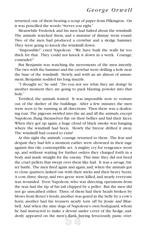returned, one of them bearing a scrap of paper from Pilkington. On it was pencilled the words: "Serves you right."

Meanwhile Frederick and his men had halted about the windmill. The animals watched them, and a murmur of dismay went round. Two of the men had produced a crowbar and a sledge hammer. They were going to knock the windmill down.

"Impossible!" cried Napoleon. "We have built the walls far too thick for that. They could not knock it down in a week. Courage, comrades!"

But Benjamin was watching the movements of the men intently. The two with the hammer and the crowbar were drilling a hole near the base of the windmill. Slowly, and with an air almost of amusement, Benjamin nodded his long muzzle.

"I thought so," he said. "Do you not see what they are doing? In another moment they are going to pack blasting powder into that hole."

Terrified, the animals waited. It was impossible now to venture out of the shelter of the buildings. After a few minutes the men were seen to be running in all directions. Then there was a deafening roar. The pigeons swirled into the air, and all the animals, except Napoleon, flung themselves flat on their bellies and hid their faces. When they got up again, a huge cloud of black smoke was hanging where the windmill had been. Slowly the breeze drifted it away. The windmill had ceased to exist!

denly appeared on the men's flank, baying ferociously, panic over-At this sight the animals' courage returned to them. The fear and despair they had felt a moment earlier were drowned in their rage against this vile, contemptible act. A mighty cry for vengeance went up, and without waiting for further orders they charged forth in a body and made straight for the enemy. This time they did not heed the cruel pellets that swept over them like hail. It was a savage, bitter battle. The men fired again and again, and, when the animals got to close quarters, lashed out with their sticks and their heavy boots. A cow, three sheep, and two geese were killed, and nearly everyone was wounded. Even Napoleon, who was directing operations from the rear, had the tip of his tail chipped by a pellet. But the men did not go unscathed either. Three of them had their heads broken by blows from Boxer's hoofs; another was gored in the belly by a cow's horn; another had his trousers nearly torn off by Jessie and Bluebell. And when the nine dogs of Napoleon's own bodyguard, whom he had instructed to make a detour under cover of the hedge, sud-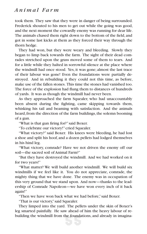took them. They saw that they were in danger of being surrounded. Frederick shouted to his men to get out while the going was good, and the next moment the cowardly enemy was running for dear life. The animals chased them right down to the bottom of the field, and got in some last kicks at them as they forced their way through the thorn hedge.

They had won, but they were weary and bleeding. Slowly they began to limp back towards the farm. The sight of their dead comrades stretched upon the grass moved some of them to tears. And for a little while they halted in sorrowful silence at the place where the windmill had once stood. Yes, it was gone; almost the last trace of their labour was gone! Even the foundations were partially destroyed. And in rebuilding it they could not this time, as before, make use of the fallen stones. This time the stones had vanished too. The force of the explosion had flung them to distances of hundreds of yards. It was as though the windmill had never been.

As they approached the farm Squealer, who had unaccountably been absent during the fighting, came skipping towards them, whisking his tail and beaming with satisfaction. And the animals heard, from the direction of the farm buildings, the solemn booming of a gun.

"What is that gun firing for?" said Boxer.

"To celebrate our victory!" cried Squealer.

"What victory?" said Boxer. His knees were bleeding, he had lost a shoe and split his hoof, and a dozen pellets had lodged themselves in his hind leg.

"What victory, comrade? Have we not driven the enemy off our soil—the sacred soil of Animal Farm?"

"But they have destroyed the windmill. And we had worked on it for two years!"

"What matter? We will build another windmill. We will build six windmills if we feel like it. You do not appreciate, comrade, the mighty thing that we have done. The enemy was in occupation of this very ground that we stand upon. And now—thanks to the leadership of Comrade Napoleon—we have won every inch of it back again!"

"Then we have won back what we had before," said Boxer.

"That is our victory," said Squealer.

building the windmill from the foundations, and already in imagina-<br> They limped into the yard. The pellets under the skin of Boxer's leg smarted painfully. He saw ahead of him the heavy labour of re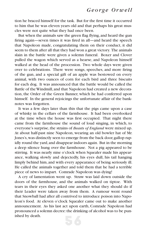tion he braced himself for the task. But for the first time it occurred to him that he was eleven years old and that perhaps his great muscles were not quite what they had once been.

But when the animals saw the green flag flying, and heard the gun firing again—seven times it was fired in all—and heard the speech that Napoleon made, congratulating them on their conduct, it did seem to them after all that they had won a great victory. The animals slain in the battle were given a solemn funeral. Boxer and Clover pulled the wagon which served as a hearse, and Napoleon himself walked at the head of the procession. Two whole days were given over to celebrations. There were songs, speeches, and more firing of the gun, and a special gift of an apple was bestowed on every animal, with two ounces of corn for each bird and three biscuits for each dog. It was announced that the battle would be called the Battle of the Windmill, and that Napoleon had created a new decoration, the Order of the Green Banner, which he had conferred upon himself. In the general rejoicings the unfortunate affair of the banknotes was forgotten.

It was a few days later than this that the pigs came upon a case of whisky in the cellars of the farmhouse. It had been overlooked at the time when the house was first occupied. That night there came from the farmhouse the sound of loud singing, in which, to everyone's surprise, the strains of *Beasts of England* were mixed up. At about half-past nine Napoleon, wearing an old bowler hat of Mr. Jones's, was distinctly seen to emerge from the back door, gallop rapidly round the yard, and disappear indoors again. But in the morning a deep silence hung over the farmhouse. Not a pig appeared to be stirring. It was nearly nine o'clock when Squealer made his appearance, walking slowly and dejectedly, his eyes dull, his tail hanging limply behind him, and with every appearance of being seriously ill. He called the animals together and told them that he had a terrible piece of news to impart. Comrade Napoleon was dying!

A cry of lamentation went up. Straw was laid down outside the doors of the farmhouse, and the animals walked on tiptoe. With tears in their eyes they asked one another what they should do if their Leader were taken away from them. A rumour went round that Snowball had after all contrived to introduce poison into Napoleon's food. At eleven o'clock Squealer came out to make another announcement. As his last act upon earth, Comrade Napoleon had pronounced a solemn decree: the drinking of alcohol was to be punished by death.

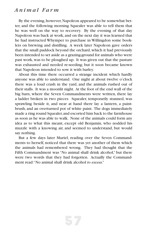By the evening, however, Napoleon appeared to be somewhat better, and the following morning Squealer was able to tell them that he was well on the way to recovery. By the evening of that day Napoleon was back at work, and on the next day it was learned that he had instructed Whymper to purchase in Willingdon some booklets on brewing and distilling. A week later Napoleon gave orders that the small paddock beyond the orchard, which it had previously been intended to set aside as a grazing-ground for animals who were past work, was to be ploughed up. It was given out that the pasture was exhausted and needed re-seeding; but it soon became known that Napoleon intended to sow it with barley.

About this time there occurred a strange incident which hardly anyone was able to understand. One night at about twelve o'clock there was a loud crash in the yard, and the animals rushed out of their stalls. It was a moonlit night. At the foot of the end wall of the big barn, where the Seven Commandments were written, there lay a ladder broken in two pieces. Squealer, temporarily stunned, was sprawling beside it, and near at hand there lay a lantern, a paintbrush, and an overturned pot of white paint. The dogs immediately made a ring round Squealer, and escorted him back to the farmhouse as soon as he was able to walk. None of the animals could form any idea as to what this meant, except old Benjamin, who nodded his muzzle with a knowing air, and seemed to understand, but would say nothing.

But a few days later Muriel, reading over the Seven Commandments to herself, noticed that there was yet another of them which the animals had remembered wrong. They had thought that the Fifth Commandment was "No animal shall drink alcohol," but there were two words that they had forgotten. Actually the Commandment read: "No animal shall drink alcohol *to excess*."

5 7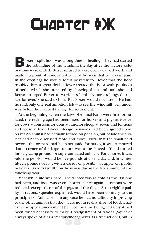# CHAPTET **OX**

Boxer's split hoof was a long time in healing. They had started the rebuilding of the windmill the day after the victory celebrations were ended. Boxer refused to take even a day off work, and made it a point of honour not to let it be seen that he was in pain. In the evenings he would admit privately to Clover that the hoof troubled him a great deal. Clover treated the hoof with poultices of herbs which she prepared by chewing them, and both she and Benjamin urged Boxer to work less hard. "A horse's lungs do not last for ever," she said to him. But Boxer would not listen. He had, he said, only one real ambition left—to see the windmill well under way before he reached the age for retirement.

At the beginning, when the laws of Animal Farm were first formulated, the retiring age had been fixed for horses and pigs at twelve, for cows at fourteen, for dogs at nine, for sheep at seven, and for hens and geese at five. Liberal old-age pensions had been agreed upon. As yet no animal had actually retired on pension, but of late the subject had been discussed more and more. Now that the small field beyond the orchard had been set aside for barley, it was rumoured that a corner of the large pasture was to be fenced off and turned into a grazing-ground for superannuated animals. For a horse, it was said, the pension would be five pounds of corn a day and, in winter, fifteen pounds of hay, with a carrot or possibly an apple on public holidays. Boxer's twelfth birthday was due in the late summer of the following year.

always spoke of it as a "readjustment," never as a "reduction"), but in<br> Meanwhile life was hard. The winter was as cold as the last one had been, and food was even shorter. Once again all rations were reduced, except those of the pigs and the dogs. A too rigid equality in rations, Squealer explained, would have been contrary to the principles of Animalism. In any case he had no difficulty in proving to the other animals that they were not in reality short of food, whatever the appearances might be. For the time being, certainly, it had been found necessary to make a readjustment of rations (Squealer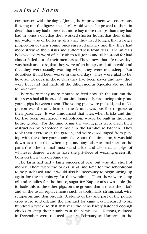comparison with the days of Jones, the improvement was enormous. Reading out the figures in a shrill, rapid voice, he proved to them in detail that they had more oats, more hay, more turnips than they had had in Jones's day, that they worked shorter hours, that their drinking water was of better quality, that they lived longer, that a larger proportion of their young ones survived infancy, and that they had more straw in their stalls and suffered less from fleas. The animals believed every word of it. Truth to tell, Jones and all he stood for had almost faded out of their memories. They knew that life nowadays was harsh and bare, that they were often hungry and often cold, and that they were usually working when they were not asleep. But doubtless it had been worse in the old days. They were glad to believe so. Besides, in those days they had been slaves and now they were free, and that made all the difference, as Squealer did not fail to point out.

There were many more mouths to feed now. In the autumn the four sows had all littered about simultaneously, producing thirty-one young pigs between them. The young pigs were piebald, and as Napoleon was the only boar on the farm, it was possible to guess at their parentage. It was announced that later, when bricks and timber had been purchased, a schoolroom would be built in the farmhouse garden. For the time being, the young pigs were given their instruction by Napoleon himself in the farmhouse kitchen. They took their exercise in the garden, and were discouraged from playing with the other young animals. About this time, too, it was laid down as a rule that when a pig and any other animal met on the path, the other animal must stand aside: and also that all pigs, of whatever degree, were to have the privilege of wearing green ribbons on their tails on Sundays.

in December, were reduced again in February, and lanterns in the<br>
<sub>1</sub> The farm had had a fairly successful year, but was still short of money. There were the bricks, sand, and lime for the schoolroom to be purchased, and it would also be necessary to begin saving up again for the machinery for the windmill. Then there were lamp oil and candles for the house, sugar for Napoleon's own table (he forbade this to the other pigs, on the ground that it made them fat), and all the usual replacements such as tools, nails, string, coal, wire, scrap-iron, and dog biscuits. A stump of hay and part of the potato crop were sold off, and the contract for eggs was increased to six hundred a week, so that that year the hens barely hatched enough chicks to keep their numbers at the same level. Rations, reduced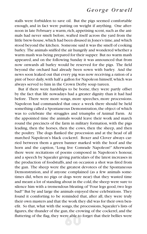stalls were forbidden to save oil. But the pigs seemed comfortable enough, and in fact were putting on weight if anything. One afternoon in late February a warm, rich, appetising scent, such as the animals had never smelt before, wafted itself across the yard from the little brew-house, which had been disused in Jones's time, and which stood beyond the kitchen. Someone said it was the smell of cooking barley. The animals sniffed the air hungrily and wondered whether a warm mash was being prepared for their supper. But no warm mash appeared, and on the following Sunday it was announced that from now onwards all barley would be reserved for the pigs. The field beyond the orchard had already been sown with barley. And the news soon leaked out that every pig was now receiving a ration of a pint of beer daily, with half a gallon for Napoleon himself, which was always served to him in the Crown Derby soup tureen.

fluttering of the flag, they were able to forget that their bellies were But if there were hardships to be borne, they were partly offset by the fact that life nowadays had a greater dignity than it had had before. There were more songs, more speeches, more processions. Napoleon had commanded that once a week there should be held something called a Spontaneous Demonstration, the object of which was to celebrate the struggles and triumphs of Animal Farm. At the appointed time the animals would leave their work and march round the precincts of the farm in military formation, with the pigs leading, then the horses, then the cows, then the sheep, and then the poultry. The dogs flanked the procession and at the head of all marched Napoleon's black cockerel. Boxer and Clover always carried between them a green banner marked with the hoof and the horn and the caption, "Long live Comrade Napoleon!" Afterwards there were recitations of poems composed in Napoleon's honour, and a speech by Squealer giving particulars of the latest increases in the production of foodstuffs, and on occasion a shot was fired from the gun. The sheep were the greatest devotees of the Spontaneous Demonstration, and if anyone complained (as a few animals sometimes did, when no pigs or dogs were near) that they wasted time and meant a lot of standing about in the cold, the sheep were sure to silence him with a tremendous bleating of "Four legs good, two legs bad!" But by and large the animals enjoyed these celebrations. They found it comforting to be reminded that, after all, they were truly their own masters and that the work they did was for their own benefit. So that, what with the songs, the processions, Squealer's lists of figures, the thunder of the gun, the crowing of the cockerel, and the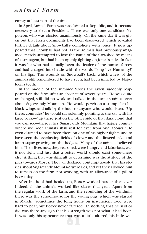empty, at least part of the time.

In April, Animal Farm was proclaimed a Republic, and it became necessary to elect a President. There was only one candidate, Napoleon, who was elected unanimously. On the same day it was given out that fresh documents had been discovered which revealed further details about Snowball's complicity with Jones. It now appeared that Snowball had not, as the animals had previously imagined, merely attempted to lose the Battle of the Cowshed by means of a stratagem, but had been openly fighting on Jones's side. In fact, it was he who had actually been the leader of the human forces, and had charged into battle with the words "Long live Humanity!" on his lips. The wounds on Snowball's back, which a few of the animals still remembered to have seen, had been inflicted by Napoleon's teeth.

In the middle of the summer Moses the raven suddenly reappeared on the farm, after an absence of several years. He was quite unchanged, still did no work, and talked in the same strain as ever about Sugarcandy Mountain. He would perch on a stump, flap his black wings, and talk by the hour to anyone who would listen. "Up there, comrades," he would say solemnly, pointing to the sky with his large beak—"up there, just on the other side of that dark cloud that you can see—there it lies, Sugarcandy Mountain, that happy country where we poor animals shall rest for ever from our labours!" He even claimed to have been there on one of his higher flights, and to have seen the everlasting fields of clover and the linseed cake and lump sugar growing on the hedges. Many of the animals believed him. Their lives now, they reasoned, were hungry and laborious; was it not right and just that a better world should exist somewhere else? A thing that was difficult to determine was the attitude of the pigs towards Moses. They all declared contemptuously that his stories about Sugarcandy Mountain were lies, and yet they allowed him to remain on the farm, not working, with an allowance of a gill of beer a day.

It was only his appearance that was a little altered; his hide was  $\overline{a}$ After his hoof had healed up, Boxer worked harder than ever. Indeed, all the animals worked like slaves that year. Apart from the regular work of the farm, and the rebuilding of the windmill, there was the schoolhouse for the young pigs, which was started in March. Sometimes the long hours on insufficient food were hard to bear, but Boxer never faltered. In nothing that he said or did was there any sign that his strength was not what it had been.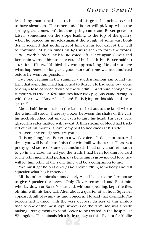less shiny than it had used to be, and his great haunches seemed to have shrunken. The others said, "Boxer will pick up when the spring grass comes on"; but the spring came and Boxer grew no fatter. Sometimes on the slope leading to the top of the quarry, when he braced his muscles against the weight of some vast boulder, it seemed that nothing kept him on his feet except the will to continue. At such times his lips were seen to form the words, "I will work harder"; he had no voice left. Once again Clover and Benjamin warned him to take care of his health, but Boxer paid no attention. His twelfth birthday was approaching. He did not care what happened so long as a good store of stone was accumulated before he went on pension.

Late one evening in the summer, a sudden rumour ran round the farm that something had happened to Boxer. He had gone out alone to drag a load of stone down to the windmill. And sure enough, the rumour was true. A few minutes later two pigeons came racing in with the news: "Boxer has fallen! He is lying on his side and can't get up!"

About half the animals on the farm rushed out to the knoll where the windmill stood. There lay Boxer, between the shafts of the cart, his neck stretched out, unable even to raise his head. His eyes were glazed, his sides matted with sweat. A thin stream of blood had trickled out of his mouth. Clover dropped to her knees at his side.

"Boxer!" she cried, "how are you?"

"It is my lung," said Boxer in a weak voice. "It does not matter. I think you will be able to finish the windmill without me. There is a pretty good store of stone accumulated. I had only another month to go in any case. To tell you the truth, I had been looking forward to my retirement. And perhaps, as Benjamin is growing old too, they will let him retire at the same time and be a companion to me."

"We must get help at once," said Clover. "Run, somebody, and tell Squealer what has happened."

Willingdon. The animals felt a little uneasy at this. Except for Mollie All the other animals immediately raced back to the farmhouse to give Squealer the news. Only Clover remained, and Benjamin, who lay down at Boxer's side, and, without speaking, kept the flies off him with his long tail. After about a quarter of an hour Squealer appeared, full of sympathy and concern. He said that Comrade Napoleon had learned with the very deepest distress of this misfortune to one of the most loyal workers on the farm, and was already making arrangements to send Boxer to be treated in the hospital at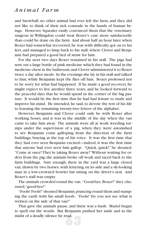and Snowball, no other animal had ever left the farm, and they did not like to think of their sick comrade in the hands of human beings. However, Squealer easily convinced them that the veterinary surgeon in Willingdon could treat Boxer's case more satisfactorily than could be done on the farm. And about half an hour later, when Boxer had somewhat recovered, he was with difficulty got on to his feet, and managed to limp back to his stall, where Clover and Benjamin had prepared a good bed of straw for him.

For the next two days Boxer remained in his stall. The pigs had sent out a large bottle of pink medicine which they had found in the medicine chest in the bathroom, and Clover administered it to Boxer twice a day after meals. In the evenings she lay in his stall and talked to him, while Benjamin kept the flies off him. Boxer professed not to be sorry for what had happened. If he made a good recovery, he might expect to live another three years, and he looked forward to the peaceful days that he would spend in the corner of the big pasture. It would be the first time that he had had leisure to study and improve his mind. He intended, he said, to devote the rest of his life to learning the remaining twenty-two letters of the alphabet.

However, Benjamin and Clover could only be with Boxer after working hours, and it was in the middle of the day when the van came to take him away. The animals were all at work weeding turnips under the supervision of a pig, when they were astonished to see Benjamin come galloping from the direction of the farm buildings, braying at the top of his voice. It was the first time that they had ever seen Benjamin excited—indeed, it was the first time that anyone had ever seen him gallop. "Quick, quick!" he shouted. "Come at once! They're taking Boxer away!" Without waiting for orders from the pig, the animals broke off work and raced back to the farm buildings. Sure enough, there in the yard was a large closed van, drawn by two horses, with lettering on its side and a sly-looking man in a low-crowned bowler hat sitting on the driver's seat. And Boxer's stall was empty.

The animals crowded round the van. "Good-bye, Boxer!" they chorused, "good-bye!"

"Fools! Fools!" shouted Benjamin, prancing round them and stamping the earth with his small hoofs. "Fools! Do you not see what is written on the side of that van?"

 $\overline{\phantom{a}}$ That gave the animals pause, and there was a hush. Muriel began to spell out the words. But Benjamin pushed her aside and in the midst of a deadly silence he read: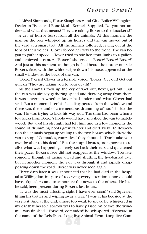"'Alfred Simmonds, Horse Slaughterer and Glue Boiler, Willingdon. Dealer in Hides and Bone-Meal. Kennels Supplied.' Do you not understand what that means? They are taking Boxer to the knacker's!"

A cry of horror burst from all the animals. At this moment the man on the box whipped up his horses and the van moved out of the yard at a smart trot. All the animals followed, crying out at the tops of their voices. Clover forced her way to the front. The van began to gather speed. Clover tried to stir her stout limbs to a gallop, and achieved a canter. "Boxer!" she cried. "Boxer! Boxer! Boxer!" And just at this moment, as though he had heard the uproar outside, Boxer's face, with the white stripe down his nose, appeared at the small window at the back of the van.

"Boxer!" cried Clover in a terrible voice. "Boxer! Get out! Get out quickly! They are taking you to your death!"

All the animals took up the cry of "Get out, Boxer, get out!" But the van was already gathering speed and drawing away from them. It was uncertain whether Boxer had understood what Clover had said. But a moment later his face disappeared from the window and there was the sound of a tremendous drumming of hoofs inside the van. He was trying to kick his way out. The time had been when a few kicks from Boxer's hoofs would have smashed the van to matchwood. But alas! his strength had left him; and in a few moments the sound of drumming hoofs grew fainter and died away. In desperation the animals began appealing to the two horses which drew the van to stop. "Comrades, comrades!" they shouted. "Don't take your own brother to his death!" But the stupid brutes, too ignorant to realise what was happening, merely set back their ears and quickened their pace. Boxer's face did not reappear at the window. Too late, someone thought of racing ahead and shutting the five-barred gate; but in another moment the van was through it and rapidly disappearing down the road. Boxer was never seen again.

Three days later it was announced that he had died in the hospital at Willingdon, in spite of receiving every attention a horse could have. Squealer came to announce the news to the others. He had, he said, been present during Boxer's last hours.

6 4 the name of the Rebellion. Long live Animal Farm! Long live Com-"It was the most affecting sight I have ever seen!" said Squealer, lifting his trotter and wiping away a tear. "I was at his bedside at the very last. And at the end, almost too weak to speak, he whispered in my ear that his sole sorrow was to have passed on before the windmill was finished. 'Forward, comrades!' he whispered. 'Forward in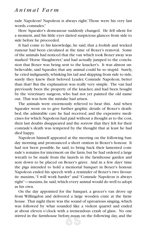rade Napoleon! Napoleon is always right.' Those were his very last words, comrades."

Here Squealer's demeanour suddenly changed. He fell silent for a moment, and his little eyes darted suspicious glances from side to side before he proceeded.

It had come to his knowledge, he said, that a foolish and wicked rumour had been circulated at the time of Boxer's removal. Some of the animals had noticed that the van which took Boxer away was marked "Horse Slaughterer," and had actually jumped to the conclusion that Boxer was being sent to the knacker's. It was almost unbelievable, said Squealer, that any animal could be so stupid. Surely, he cried indignantly, whisking his tail and skipping from side to side, surely they knew their beloved Leader, Comrade Napoleon, better than that? But the explanation was really very simple. The van had previously been the property of the knacker, and had been bought by the veterinary surgeon, who had not yet painted the old name out. That was how the mistake had arisen.

The animals were enormously relieved to hear this. And when Squealer went on to give further graphic details of Boxer's deathbed, the admirable care he had received, and the expensive medicines for which Napoleon had paid without a thought as to the cost, their last doubts disappeared and the sorrow that they felt for their comrade's death was tempered by the thought that at least he had died happy.

Napoleon himself appeared at the meeting on the following Sunday morning and pronounced a short oration in Boxer's honour. It had not been possible, he said, to bring back their lamented comrade's remains for interment on the farm, but he had ordered a large wreath to be made from the laurels in the farmhouse garden and sent down to be placed on Boxer's grave. And in a few days' time the pigs intended to hold a memorial banquet in Boxer's honour. Napoleon ended his speech with a reminder of Boxer's two favourite maxims, "I will work harder" and "Comrade Napoleon is always right"—maxims, he said, which every animal would do well to adopt as his own.

stirred in the farmhouse before noon on the following day, and the stirred in the farmhouse before noon on the following day, and the On the day appointed for the banquet, a grocer's van drove up from Willingdon and delivered a large wooden crate at the farmhouse. That night there was the sound of uproarious singing, which was followed by what sounded like a violent quarrel and ended at about eleven o'clock with a tremendous crash of glass. No one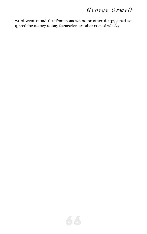### *George Orwell*

word went round that from somewhere or other the pigs had acquired the money to buy themselves another case of whisky.

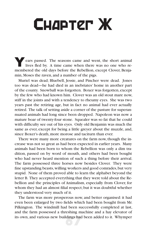# CHAPTET **X**

Years passed. The seasons came and went, the short animal lives fled by. A time came when there was no one who remembered the old days before the Rebellion, except Clover, Benjamin, Moses the raven, and a number of the pigs.

Muriel was dead; Bluebell, Jessie, and Pincher were dead. Jones too was dead—he had died in an inebriates' home in another part of the county. Snowball was forgotten. Boxer was forgotten, except by the few who had known him. Clover was an old stout mare now, stiff in the joints and with a tendency to rheumy eyes. She was two years past the retiring age, but in fact no animal had ever actually retired. The talk of setting aside a corner of the pasture for superannuated animals had long since been dropped. Napoleon was now a mature boar of twenty-four stone. Squealer was so fat that he could with difficulty see out of his eyes. Only old Benjamin was much the same as ever, except for being a little greyer about the muzzle, and, since Boxer's death, more morose and taciturn than ever.

There were many more creatures on the farm now, though the increase was not so great as had been expected in earlier years. Many animals had been born to whom the Rebellion was only a dim tradition, passed on by word of mouth, and others had been bought who had never heard mention of such a thing before their arrival. The farm possessed three horses now besides Clover. They were fine upstanding beasts, willing workers and good comrades, but very stupid. None of them proved able to learn the alphabet beyond the letter B. They accepted everything that they were told about the Rebellion and the principles of Animalism, especially from Clover, for whom they had an almost filial respect; but it was doubtful whether they understood very much of it.

its own, and various new buildings had been added to it. Whymper The farm was more prosperous now, and better organised: it had even been enlarged by two fields which had been bought from Mr. Pilkington. The windmill had been successfully completed at last, and the farm possessed a threshing machine and a hay elevator of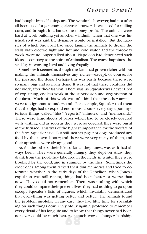had bought himself a dogcart. The windmill, however, had not after all been used for generating electrical power. It was used for milling corn, and brought in a handsome money profit. The animals were hard at work building yet another windmill; when that one was finished, so it was said, the dynamos would be installed. But the luxuries of which Snowball had once taught the animals to dream, the stalls with electric light and hot and cold water, and the three-day week, were no longer talked about. Napoleon had denounced such ideas as contrary to the spirit of Animalism. The truest happiness, he said, lay in working hard and living frugally.

Somehow it seemed as though the farm had grown richer without making the animals themselves any richer—except, of course, for the pigs and the dogs. Perhaps this was partly because there were so many pigs and so many dogs. It was not that these creatures did not work, after their fashion. There was, as Squealer was never tired of explaining, endless work in the supervision and organisation of the farm. Much of this work was of a kind that the other animals were too ignorant to understand. For example, Squealer told them that the pigs had to expend enormous labours every day upon mysterious things called "files," "reports," "minutes," and "memoranda." These were large sheets of paper which had to be closely covered with writing, and as soon as they were so covered, they were burnt in the furnace. This was of the highest importance for the welfare of the farm, Squealer said. But still, neither pigs nor dogs produced any food by their own labour; and there were very many of them, and their appetites were always good.

nor ever could be much better or much worse—hunger, hardship, As for the others, their life, so far as they knew, was as it had always been. They were generally hungry, they slept on straw, they drank from the pool, they laboured in the fields; in winter they were troubled by the cold, and in summer by the flies. Sometimes the older ones among them racked their dim memories and tried to determine whether in the early days of the Rebellion, when Jones's expulsion was still recent, things had been better or worse than now. They could not remember. There was nothing with which they could compare their present lives: they had nothing to go upon except Squealer's lists of figures, which invariably demonstrated that everything was getting better and better. The animals found the problem insoluble; in any case, they had little time for speculating on such things now. Only old Benjamin professed to remember every detail of his long life and to know that things never had been,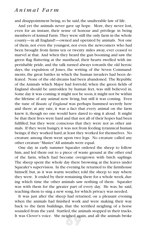and disappointment being, so he said, the unalterable law of life.

And yet the animals never gave up hope. More, they never lost, even for an instant, their sense of honour and privilege in being members of Animal Farm. They were still the only farm in the whole county—in all England!—owned and operated by animals. Not one of them, not even the youngest, not even the newcomers who had been brought from farms ten or twenty miles away, ever ceased to marvel at that. And when they heard the gun booming and saw the green flag fluttering at the masthead, their hearts swelled with imperishable pride, and the talk turned always towards the old heroic days, the expulsion of Jones, the writing of the Seven Commandments, the great battles in which the human invaders had been defeated. None of the old dreams had been abandoned. The Republic of the Animals which Major had foretold, when the green fields of England should be untrodden by human feet, was still believed in. Some day it was coming: it might not be soon, it might not be within the lifetime of any animal now living, but still it was coming. Even the tune of *Beasts of England* was perhaps hummed secretly here and there: at any rate, it was a fact that every animal on the farm knew it, though no one would have dared to sing it aloud. It might be that their lives were hard and that not all of their hopes had been fulfilled; but they were conscious that they were not as other animals. If they went hungry, it was not from feeding tyrannical human beings; if they worked hard, at least they worked for themselves. No creature among them went upon two legs. No creature called any other creature "Master." All animals were equal.

One day in early summer Squealer ordered the sheep to follow him, and led them out to a piece of waste ground at the other end of the farm, which had become overgrown with birch saplings. The sheep spent the whole day there browsing at the leaves under Squealer's supervision. In the evening he returned to the farmhouse himself, but, as it was warm weather, told the sheep to stay where they were. It ended by their remaining there for a whole week, during which time the other animals saw nothing of them. Squealer was with them for the greater part of every day. He was, he said, teaching them to sing a new song, for which privacy was needed.

It was Clover's voice. She neighed again, and all the animals broke<br> It was just after the sheep had returned, on a pleasant evening when the animals had finished work and were making their way back to the farm buildings, that the terrified neighing of a horse sounded from the yard. Startled, the animals stopped in their tracks.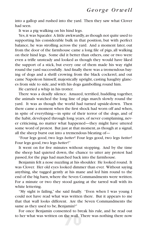into a gallop and rushed into the yard. Then they saw what Clover had seen.

It was a pig walking on his hind legs.

Yes, it was Squealer. A little awkwardly, as though not quite used to supporting his considerable bulk in that position, but with perfect balance, he was strolling across the yard. And a moment later, out from the door of the farmhouse came a long file of pigs, all walking on their hind legs. Some did it better than others, one or two were even a trifle unsteady and looked as though they would have liked the support of a stick, but every one of them made his way right round the yard successfully. And finally there was a tremendous baying of dogs and a shrill crowing from the black cockerel, and out came Napoleon himself, majestically upright, casting haughty glances from side to side, and with his dogs gambolling round him.

He carried a whip in his trotter.

There was a deadly silence. Amazed, terrified, huddling together, the animals watched the long line of pigs march slowly round the yard. It was as though the world had turned upside-down. Then there came a moment when the first shock had worn off and when, in spite of everything—in spite of their terror of the dogs, and of the habit, developed through long years, of never complaining, never criticising, no matter what happened—they might have uttered some word of protest. But just at that moment, as though at a signal, all the sheep burst out into a tremendous bleating of—

"Four legs good, two legs *better*! Four legs good, two legs *better*! Four legs good, two legs *better*!"

It went on for five minutes without stopping. And by the time the sheep had quieted down, the chance to utter any protest had passed, for the pigs had marched back into the farmhouse.

Benjamin felt a nose nuzzling at his shoulder. He looked round. It was Clover. Her old eyes looked dimmer than ever. Without saying anything, she tugged gently at his mane and led him round to the end of the big barn, where the Seven Commandments were written. For a minute or two they stood gazing at the tarred wall with its white lettering.

"My sight is failing," she said finally. "Even when I was young I could not have read what was written there. But it appears to me that that wall looks different. Are the Seven Commandments the same as they used to be, Benjamin?"

to her what was written on the wall. There was nothing there now  $\overline{a}$ For once Benjamin consented to break his rule, and he read out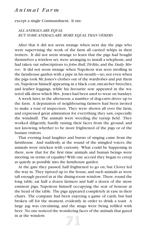except a single Commandment. It ran:

#### *ALL ANIMALS ARE EQUAL BUT SOME ANIMALS ARE MORE EQUAL THAN OTHERS*

After that it did not seem strange when next day the pigs who were supervising the work of the farm all carried whips in their trotters. It did not seem strange to learn that the pigs had bought themselves a wireless set, were arranging to install a telephone, and had taken out subscriptions to *John Bull*, *Tit-Bits*, and the *Daily Mirror*. It did not seem strange when Napoleon was seen strolling in the farmhouse garden with a pipe in his mouth—no, not even when the pigs took Mr. Jones's clothes out of the wardrobes and put them on, Napoleon himself appearing in a black coat, ratcatcher breeches, and leather leggings, while his favourite sow appeared in the watered silk dress which Mrs. Jones had been used to wear on Sundays.

A week later, in the afternoon, a number of dog-carts drove up to the farm. A deputation of neighbouring farmers had been invited to make a tour of inspection. They were shown all over the farm, and expressed great admiration for everything they saw, especially the windmill. The animals were weeding the turnip field. They worked diligently, hardly raising their faces from the ground, and not knowing whether to be more frightened of the pigs or of the human visitors.

That evening loud laughter and bursts of singing came from the farmhouse. And suddenly, at the sound of the mingled voices, the animals were stricken with curiosity. What could be happening in there, now that for the first time animals and human beings were meeting on terms of equality? With one accord they began to creep as quietly as possible into the farmhouse garden.

At the gate they paused, half frightened to go on, but Clover led the way in. They tiptoed up to the house, and such animals as were tall enough peered in at the dining-room window. There, round the long table, sat half a dozen farmers and half a dozen of the more eminent pigs, Napoleon himself occupying the seat of honour at the head of the table. The pigs appeared completely at ease in their chairs. The company had been enjoying a game of cards, but had broken off for the moment, evidently in order to drink a toast. A large jug was circulating, and the mugs were being refilled with beer. No one noticed the wondering faces of the animals that gazed in at the window.

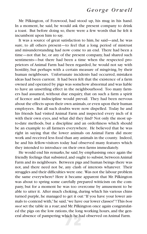Mr. Pilkington, of Foxwood, had stood up, his mug in his hand. In a moment, he said, he would ask the present company to drink a toast. But before doing so, there were a few words that he felt it incumbent upon him to say.

It was a source of great satisfaction to him, he said—and, he was sure, to all others present—to feel that a long period of mistrust and misunderstanding had now come to an end. There had been a time—not that he, or any of the present company, had shared such sentiments—but there had been a time when the respected proprietors of Animal Farm had been regarded, he would not say with hostility, but perhaps with a certain measure of misgiving, by their human neighbours. Unfortunate incidents had occurred, mistaken ideas had been current. It had been felt that the existence of a farm owned and operated by pigs was somehow abnormal and was liable to have an unsettling effect in the neighbourhood. Too many farmers had assumed, without due enquiry, that on such a farm a spirit of licence and indiscipline would prevail. They had been nervous about the effects upon their own animals, or even upon their human employees. But all such doubts were now dispelled. Today he and his friends had visited Animal Farm and inspected every inch of it with their own eyes, and what did they find? Not only the most upto-date methods, but a discipline and an orderliness which should be an example to all farmers everywhere. He believed that he was right in saying that the lower animals on Animal Farm did more work and received less food than any animals in the county. Indeed, he and his fellow-visitors today had observed many features which they intended to introduce on their own farms immediately.

eral absence of pampering which he had observed on Animal Farm. He would end his remarks, he said, by emphasising once again the friendly feelings that subsisted, and ought to subsist, between Animal Farm and its neighbours. Between pigs and human beings there was not, and there need not be, any clash of interests whatever. Their struggles and their difficulties were one. Was not the labour problem the same everywhere? Here it became apparent that Mr. Pilkington was about to spring some carefully prepared witticism on the company, but for a moment he was too overcome by amusement to be able to utter it. After much choking, during which his various chins turned purple, he managed to get it out: "If you have your lower animals to contend with," he said, "we have our lower classes!"! This *bon mot* set the table in a roar; and Mr. Pilkington once again congratulated the pigs on the low rations, the long working hours, and the gen-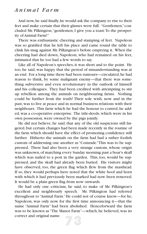And now, he said finally, he would ask the company to rise to their feet and make certain that their glasses were full. "Gentlemen," concluded Mr. Pilkington, "gentlemen, I give you a toast: To the prosperity of Animal Farm!"

There was enthusiastic cheering and stamping of feet. Napoleon was so gratified that he left his place and came round the table to clink his mug against Mr. Pilkington's before emptying it. When the cheering had died down, Napoleon, who had remained on his feet, intimated that he too had a few words to say.

Like all of Napoleon's speeches, it was short and to the point. He too, he said, was happy that the period of misunderstanding was at an end. For a long time there had been rumours—circulated, he had reason to think, by some malignant enemy—that there was something subversive and even revolutionary in the outlook of himself and his colleagues. They had been credited with attempting to stir up rebellion among the animals on neighbouring farms. Nothing could be further from the truth! Their sole wish, now and in the past, was to live at peace and in normal business relations with their neighbours. This farm which he had the honour to control, he added, was a co-operative enterprise. The title-deeds, which were in his own possession, were owned by the pigs jointly.

He did not believe, he said, that any of the old suspicions still lingered, but certain changes had been made recently in the routine of the farm which should have the effect of promoting confidence still further. Hitherto the animals on the farm had had a rather foolish custom of addressing one another as "Comrade." This was to be suppressed. There had also been a very strange custom, whose origin was unknown, of marching every Sunday morning past a boar's skull which was nailed to a post in the garden. This, too, would be suppressed, and the skull had already been buried. His visitors might have observed, too, the green flag which flew from the masthead. If so, they would perhaps have noted that the white hoof and horn with which it had previously been marked had now been removed. It would be a plain green flag from now onwards.

7 3 He had only one criticism, he said, to make of Mr. Pilkington's excellent and neighbourly speech. Mr. Pilkington had referred throughout to "Animal Farm." He could not of course know—for he, Napoleon, was only now for the first time announcing it—that the name "Animal Farm" had been abolished. Henceforward the farm was to be known as "The Manor Farm"—which, he believed, was its correct and original name.